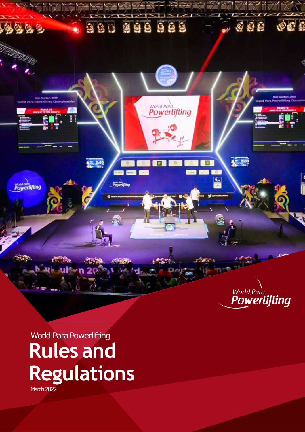

World Para Powerlifting **Rules and Regulations** March 2022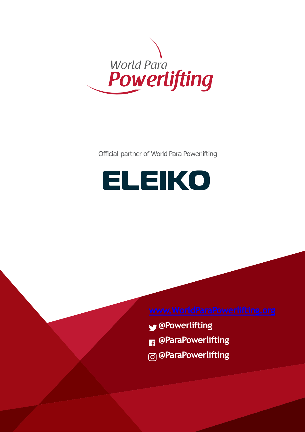

Official partner of World Para Powerlifting

# **ELEIKO**

- **@Powerlifting**
- **@ParaPowerlifting**
- **@ParaPowerlifting**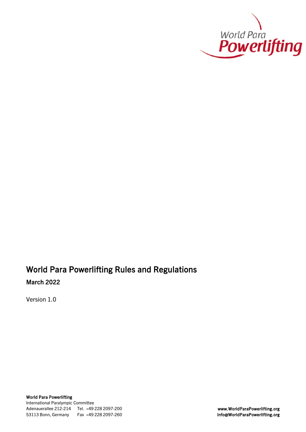

### World Para Powerlifting Rules and Regulations March 2022

Version 1.0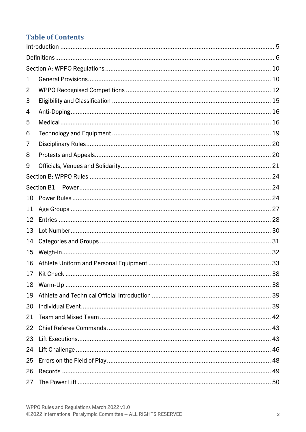### **Table of Contents**

| 1  |  |
|----|--|
| 2  |  |
| 3  |  |
| 4  |  |
| 5  |  |
| 6  |  |
| 7  |  |
| 8  |  |
| 9  |  |
|    |  |
|    |  |
| 10 |  |
| 11 |  |
| 12 |  |
| 13 |  |
| 14 |  |
| 15 |  |
| 16 |  |
|    |  |
| 18 |  |
| 19 |  |
| 20 |  |
| 21 |  |
| 22 |  |
| 23 |  |
| 24 |  |
| 25 |  |
| 26 |  |
| 27 |  |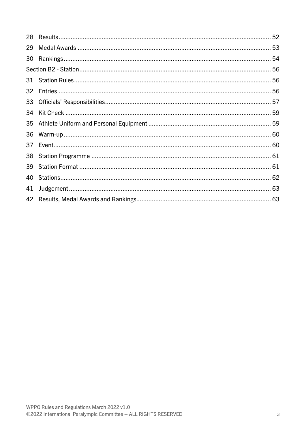| 29 |  |
|----|--|
| 30 |  |
|    |  |
|    |  |
|    |  |
|    |  |
| 34 |  |
|    |  |
| 36 |  |
| 37 |  |
|    |  |
| 39 |  |
| 40 |  |
| 41 |  |
|    |  |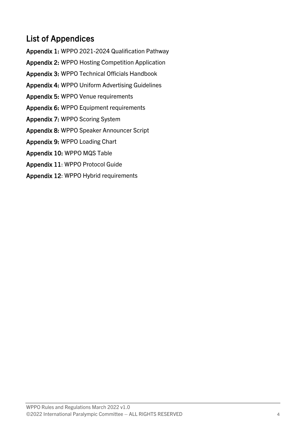### List of Appendices

Appendix 1: WPPO 2021-2024 Qualification Pathway Appendix 2: WPPO Hosting Competition Application Appendix 3: WPPO Technical Officials Handbook Appendix 4: WPPO Uniform Advertising Guidelines Appendix 5: WPPO Venue requirements Appendix 6: WPPO Equipment requirements Appendix 7: WPPO Scoring System Appendix 8: WPPO Speaker Announcer Script Appendix 9: WPPO Loading Chart Appendix 10: WPPO MQS Table Appendix 11: WPPO Protocol Guide Appendix 12: WPPO Hybrid requirements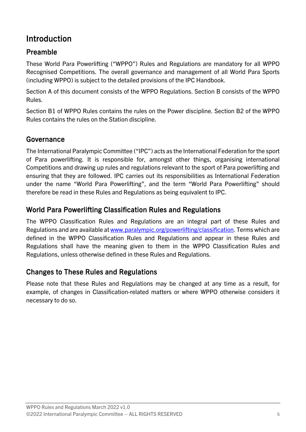### <span id="page-6-0"></span>Introduction

### Preamble

These World Para Powerlifting ("WPPO") Rules and Regulations are mandatory for all WPPO Recognised Competitions. The overall governance and management of all World Para Sports (including WPPO) is subject to the detailed provisions of the IPC Handbook.

Section A of this document consists of the WPPO Regulations. Section B consists of the WPPO Rules.

Section B1 of WPPO Rules contains the rules on the Power discipline. Section B2 of the WPPO Rules contains the rules on the Station discipline.

#### Governance

The International Paralympic Committee ("IPC") acts as the International Federation for the sport of Para powerlifting. It is responsible for, amongst other things, organising international Competitions and drawing up rules and regulations relevant to the sport of Para powerlifting and ensuring that they are followed. IPC carries out its responsibilities as International Federation under the name "World Para Powerlifting", and the term "World Para Powerlifting" should therefore be read in these Rules and Regulations as being equivalent to IPC.

#### World Para Powerlifting Classification Rules and Regulations

The WPPO Classification Rules and Regulations are an integral part of these Rules and Regulations and are available at [www.paralympic.org/powerlifting/classification.](https://paralympicorg.sharepoint.com/sites/IPC-World-Para-Powerlifting/Shared%20Documents/4.%20Governance/Rules%20and%20Regulations/2021/WPPO%20R&R%202021-2024/Working%20documents/www.paralympic.org/powerlifting/classification) Terms which are defined in the WPPO Classification Rules and Regulations and appear in these Rules and Regulations shall have the meaning given to them in the WPPO Classification Rules and Regulations, unless otherwise defined in these Rules and Regulations.

#### Changes to These Rules and Regulations

Please note that these Rules and Regulations may be changed at any time as a result, for example, of changes in Classification-related matters or where WPPO otherwise considers it necessary to do so.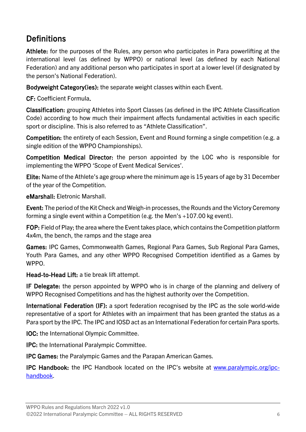### <span id="page-7-0"></span>**Definitions**

Athlete: for the purposes of the Rules, any person who participates in Para powerlifting at the international level (as defined by WPPO) or national level (as defined by each National Federation) and any additional person who participates in sport at a lower level (if designated by the person's National Federation).

Bodyweight Category(ies): the separate weight classes within each Event.

CF: Coefficient Formula.

Classification: grouping Athletes into Sport Classes (as defined in the IPC Athlete Classification Code) according to how much their impairment affects fundamental activities in each specific sport or discipline. This is also referred to as "Athlete Classification".

Competition: the entirety of each Session, Event and Round forming a single competition (e.g. a single edition of the WPPO Championships).

Competition Medical Director: the person appointed by the LOC who is responsible for implementing the WPPO 'Scope of Event Medical Services'.

Elite: Name of the Athlete's age group where the minimum age is 15 years of age by 31 December of the year of the Competition.

eMarshall: Eletronic Marshall.

Event: The period of the Kit Check and Weigh-in processes, the Rounds and the Victory Ceremony forming a single event within a Competition (e.g. the Men's +107.00 kg event).

FOP: Field of Play; the area where the Event takes place, which contains the Competition platform 4x4m, the bench, the ramps and the stage area

Games: IPC Games, Commonwealth Games, Regional Para Games, Sub Regional Para Games, Youth Para Games, and any other WPPO Recognised Competition identified as a Games by WPPO.

Head-to-Head Lift: a tie break lift attempt.

IF Delegate: the person appointed by WPPO who is in charge of the planning and delivery of WPPO Recognised Competitions and has the highest authority over the Competition.

International Federation (IF): a sport federation recognised by the IPC as the sole world-wide representative of a sport for Athletes with an impairment that has been granted the status as a Para sport by the IPC. The IPC and IOSD act as an International Federation for certain Para sports.

IOC: the International Olympic Committee.

IPC: the International Paralympic Committee.

IPC Games: the Paralympic Games and the Parapan American Games.

IPC Handbook: the IPC Handbook located on the IPC's website at [www.paralympic.org/ipc](https://www.paralympic.org/ipc-handbook)[handbook.](https://www.paralympic.org/ipc-handbook)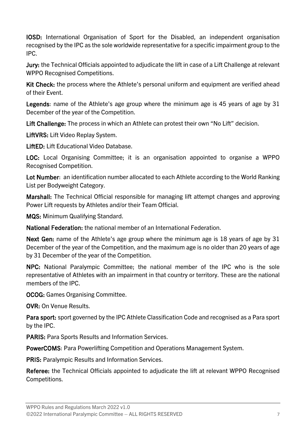IOSD: International Organisation of Sport for the Disabled, an independent organisation recognised by the IPC as the sole worldwide representative for a specific impairment group to the IPC.

Jury: the Technical Officials appointed to adjudicate the lift in case of a Lift Challenge at relevant WPPO Recognised Competitions.

Kit Check: the process where the Athlete's personal uniform and equipment are verified ahead of their Event.

Legends: name of the Athlete's age group where the minimum age is 45 years of age by 31 December of the year of the Competition.

Lift Challenge: The process in which an Athlete can protest their own "No Lift" decision.

LiftVRS: Lift Video Replay System.

LiftED: Lift Educational Video Database.

LOC: Local Organising Committee; it is an organisation appointed to organise a WPPO Recognised Competition.

Lot Number: an identification number allocated to each Athlete according to the World Ranking List per Bodyweight Category.

Marshall: The Technical Official responsible for managing lift attempt changes and approving Power Lift requests by Athletes and/or their Team Official.

MQS: Minimum Qualifying Standard.

National Federation: the national member of an International Federation.

Next Gen: name of the Athlete's age group where the minimum age is 18 years of age by 31 December of the year of the Competition, and the maximum age is no older than 20 years of age by 31 December of the year of the Competition.

NPC: National Paralympic Committee; the national member of the IPC who is the sole representative of Athletes with an impairment in that country or territory. These are the national members of the IPC.

OCOG: Games Organising Committee.

OVR: On Venue Results.

Para sport: sport governed by the IPC Athlete Classification Code and recognised as a Para sport by the IPC.

PARIS: Para Sports Results and Information Services.

PowerCOMS: Para Powerlifting Competition and Operations Management System.

PRIS: Paralympic Results and Information Services.

Referee: the Technical Officials appointed to adjudicate the lift at relevant WPPO Recognised Competitions.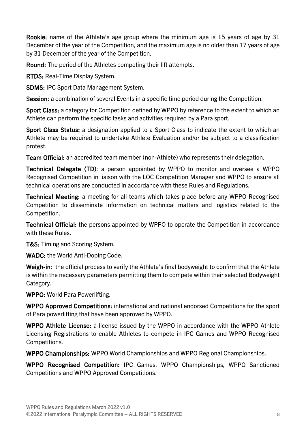Rookie: name of the Athlete's age group where the minimum age is 15 years of age by 31 December of the year of the Competition, and the maximum age is no older than 17 years of age by 31 December of the year of the Competition.

Round: The period of the Athletes competing their lift attempts.

RTDS: Real-Time Display System.

SDMS: IPC Sport Data Management System.

Session: a combination of several Events in a specific time period during the Competition.

Sport Class: a category for Competition defined by WPPO by reference to the extent to which an Athlete can perform the specific tasks and activities required by a Para sport.

Sport Class Status: a designation applied to a Sport Class to indicate the extent to which an Athlete may be required to undertake Athlete Evaluation and/or be subject to a classification protest.

Team Official: an accredited team member (non-Athlete) who represents their delegation.

Technical Delegate (TD): a person appointed by WPPO to monitor and oversee a WPPO Recognised Competition in liaison with the LOC Competition Manager and WPPO to ensure all technical operations are conducted in accordance with these Rules and Regulations.

Technical Meeting: a meeting for all teams which takes place before any WPPO Recognised Competition to disseminate information on technical matters and logistics related to the Competition.

Technical Official: the persons appointed by WPPO to operate the Competition in accordance with these Rules.

T&S: Timing and Scoring System.

WADC: the World Anti-Doping Code.

Weigh-in: the official process to verify the Athlete's final bodyweight to confirm that the Athlete is within the necessary parameters permitting them to compete within their selected Bodyweight Category.

WPPO: World Para Powerlifting.

WPPO Approved Competitions: international and national endorsed Competitions for the sport of Para powerlifting that have been approved by WPPO.

WPPO Athlete License: a license issued by the WPPO in accordance with the WPPO Athlete Licensing Registrations to enable Athletes to compete in IPC Games and WPPO Recognised Competitions.

WPPO Championships: WPPO World Championships and WPPO Regional Championships.

WPPO Recognised Competition: IPC Games, WPPO Championships, WPPO Sanctioned Competitions and WPPO Approved Competitions.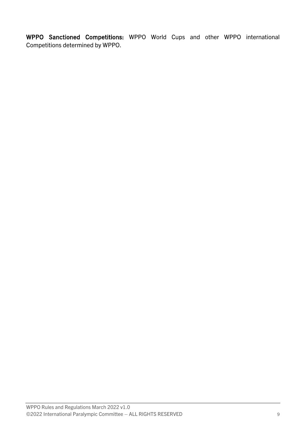WPPO Sanctioned Competitions: WPPO World Cups and other WPPO international Competitions determined by WPPO.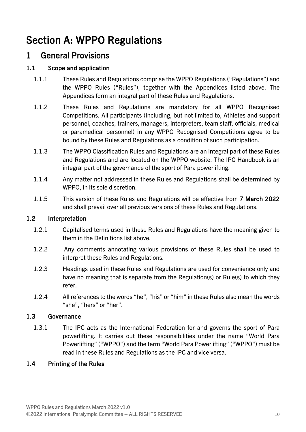## <span id="page-11-0"></span>Section A: WPPO Regulations

### <span id="page-11-1"></span>1 General Provisions

#### 1.1 Scope and application

- 1.1.1 These Rules and Regulations comprise the WPPO Regulations ("Regulations") and the WPPO Rules ("Rules"), together with the Appendices listed above. The Appendices form an integral part of these Rules and Regulations.
- 1.1.2 These Rules and Regulations are mandatory for all WPPO Recognised Competitions. All participants (including, but not limited to, Athletes and support personnel, coaches, trainers, managers, interpreters, team staff, officials, medical or paramedical personnel) in any WPPO Recognised Competitions agree to be bound by these Rules and Regulations as a condition of such participation.
- 1.1.3 The WPPO Classification Rules and Regulations are an integral part of these Rules and Regulations and are located on the WPPO website. The IPC Handbook is an integral part of the governance of the sport of Para powerlifting.
- 1.1.4 Any matter not addressed in these Rules and Regulations shall be determined by WPPO, in its sole discretion.
- 1.1.5 This version of these Rules and Regulations will be effective from 7 March 2022 and shall prevail over all previous versions of these Rules and Regulations.

#### 1.2 Interpretation

- 1.2.1 Capitalised terms used in these Rules and Regulations have the meaning given to them in the Definitions list above.
- 1.2.2 Any comments annotating various provisions of these Rules shall be used to interpret these Rules and Regulations.
- 1.2.3 Headings used in these Rules and Regulations are used for convenience only and have no meaning that is separate from the Regulation(s) or Rule(s) to which they refer.
- 1.2.4 All references to the words "he", "his" or "him" in these Rules also mean the words "she", "hers" or "her".

#### 1.3 Governance

1.3.1 The IPC acts as the International Federation for and governs the sport of Para powerlifting. It carries out these responsibilities under the name "World Para Powerlifting" ("WPPO") and the term "World Para Powerlifting" ("WPPO") must be read in these Rules and Regulations as the IPC and vice versa.

#### 1.4 Printing of the Rules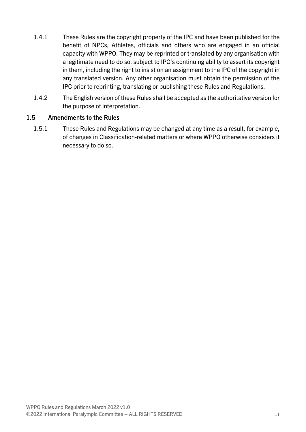- 1.4.1 These Rules are the copyright property of the IPC and have been published for the benefit of NPCs, Athletes, officials and others who are engaged in an official capacity with WPPO. They may be reprinted or translated by any organisation with a legitimate need to do so, subject to IPC's continuing ability to assert its copyright in them, including the right to insist on an assignment to the IPC of the copyright in any translated version. Any other organisation must obtain the permission of the IPC prior to reprinting, translating or publishing these Rules and Regulations.
- 1.4.2 The English version of these Rules shall be accepted as the authoritative version for the purpose of interpretation.

#### 1.5 Amendments to the Rules

1.5.1 These Rules and Regulations may be changed at any time as a result, for example, of changes in Classification-related matters or where WPPO otherwise considers it necessary to do so.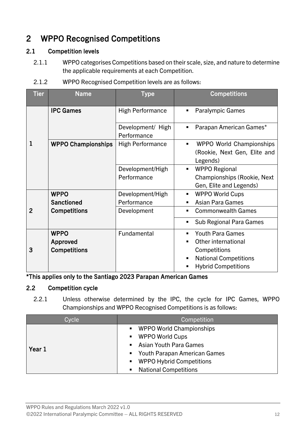### <span id="page-13-0"></span>2 WPPO Recognised Competitions

#### 2.1 Competition levels

- 2.1.1 WPPO categorises Competitions based on their scale, size, and nature to determine the applicable requirements at each Competition.
- 2.1.2 WPPO Recognised Competition levels are as follows:

| <b>Tier</b>    | <b>Name</b>                                    | <b>Type</b>                      | <b>Competitions</b>                                                                                                          |
|----------------|------------------------------------------------|----------------------------------|------------------------------------------------------------------------------------------------------------------------------|
|                | <b>IPC Games</b>                               | <b>High Performance</b>          | <b>Paralympic Games</b>                                                                                                      |
|                |                                                | Development/ High<br>Performance | Parapan American Games*<br>٠                                                                                                 |
| 1              | <b>WPPO Championships</b>                      | <b>High Performance</b>          | <b>WPPO World Championships</b><br>(Rookie, Next Gen, Elite and<br>Legends)                                                  |
|                |                                                | Development/High<br>Performance  | <b>WPPO Regional</b><br>$\blacksquare$<br>Championships (Rookie, Next<br>Gen, Elite and Legends)                             |
|                | <b>WPPO</b><br><b>Sanctioned</b>               | Development/High<br>Performance  | <b>WPPO World Cups</b><br>٠<br><b>Asian Para Games</b>                                                                       |
| $\overline{2}$ | <b>Competitions</b>                            | Development                      | <b>Commonwealth Games</b><br>Sub Regional Para Games                                                                         |
| 3              | <b>WPPO</b><br>Approved<br><b>Competitions</b> | Fundamental                      | <b>Youth Para Games</b><br>Other international<br>Competitions<br><b>National Competitions</b><br><b>Hybrid Competitions</b> |

\*This applies only to the Santiago 2023 Parapan American Games

#### 2.2 Competition cycle

2.2.1 Unless otherwise determined by the IPC, the cycle for IPC Games, WPPO Championships and WPPO Recognised Competitions is as follows:

| Cycle  | Competition                    |  |
|--------|--------------------------------|--|
|        | • WPPO World Championships     |  |
|        | ■ WPPO World Cups              |  |
| Year 1 | • Asian Youth Para Games       |  |
|        | • Youth Parapan American Games |  |
|        | • WPPO Hybrid Competitions     |  |
|        | • National Competitions        |  |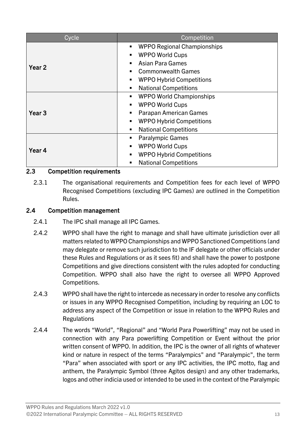| Cycle             | Competition                             |  |
|-------------------|-----------------------------------------|--|
|                   | <b>WPPO Regional Championships</b><br>п |  |
|                   | <b>WPPO World Cups</b><br>٠             |  |
| Year <sub>2</sub> | <b>Asian Para Games</b><br>٠            |  |
|                   | <b>Commonwealth Games</b><br>٠          |  |
|                   | <b>WPPO Hybrid Competitions</b><br>ш    |  |
|                   | <b>National Competitions</b>            |  |
|                   | <b>WPPO World Championships</b><br>٠    |  |
|                   | <b>WPPO World Cups</b><br>٠             |  |
| Year <sub>3</sub> | Parapan American Games<br>٠             |  |
|                   | <b>WPPO Hybrid Competitions</b><br>٠    |  |
|                   | <b>National Competitions</b><br>٠       |  |
|                   | <b>Paralympic Games</b><br>٠            |  |
| Year 4            | <b>WPPO World Cups</b><br>٠             |  |
|                   | <b>WPPO Hybrid Competitions</b><br>٠    |  |
|                   | <b>National Competitions</b><br>п       |  |

#### 2.3 Competition requirements

2.3.1 The organisational requirements and Competition fees for each level of WPPO Recognised Competitions (excluding IPC Games) are outlined in the Competition Rules.

#### 2.4 Competition management

- 2.4.1 The IPC shall manage all IPC Games.
- 2.4.2 WPPO shall have the right to manage and shall have ultimate jurisdiction over all matters related to WPPO Championships and WPPO Sanctioned Competitions (and may delegate or remove such jurisdiction to the IF delegate or other officials under these Rules and Regulations or as it sees fit) and shall have the power to postpone Competitions and give directions consistent with the rules adopted for conducting Competition. WPPO shall also have the right to oversee all WPPO Approved Competitions.
- 2.4.3 WPPO shall have the right to intercede as necessary in order to resolve any conflicts or issues in any WPPO Recognised Competition, including by requiring an LOC to address any aspect of the Competition or issue in relation to the WPPO Rules and **Regulations**
- 2.4.4 The words "World", "Regional" and "World Para Powerlifting" may not be used in connection with any Para powerlifting Competition or Event without the prior written consent of WPPO. In addition, the IPC is the owner of all rights of whatever kind or nature in respect of the terms "Paralympics" and "Paralympic", the term "Para" when associated with sport or any IPC activities, the IPC motto, flag and anthem, the Paralympic Symbol (three Agitos design) and any other trademarks, logos and other indicia used or intended to be used in the context of the Paralympic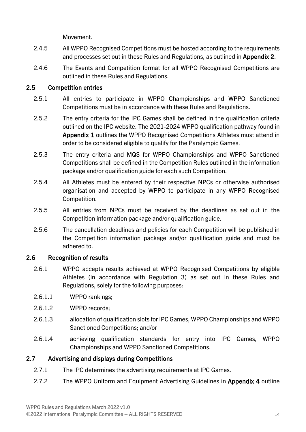Movement.

- 2.4.5 All WPPO Recognised Competitions must be hosted according to the requirements and processes set out in these Rules and Regulations, as outlined in Appendix 2.
- 2.4.6 The Events and Competition format for all WPPO Recognised Competitions are outlined in these Rules and Regulations.

#### 2.5 Competition entries

- 2.5.1 All entries to participate in WPPO Championships and WPPO Sanctioned Competitions must be in accordance with these Rules and Regulations.
- 2.5.2 The entry criteria for the IPC Games shall be defined in the qualification criteria outlined on the IPC website. The 2021-2024 WPPO qualification pathway found in Appendix 1 outlines the WPPO Recognised Competitions Athletes must attend in order to be considered eligible to qualify for the Paralympic Games.
- 2.5.3 The entry criteria and MQS for WPPO Championships and WPPO Sanctioned Competitions shall be defined in the Competition Rules outlined in the information package and/or qualification guide for each such Competition.
- 2.5.4 All Athletes must be entered by their respective NPCs or otherwise authorised organisation and accepted by WPPO to participate in any WPPO Recognised Competition.
- 2.5.5 All entries from NPCs must be received by the deadlines as set out in the Competition information package and/or qualification guide.
- 2.5.6 The cancellation deadlines and policies for each Competition will be published in the Competition information package and/or qualification guide and must be adhered to.

#### 2.6 Recognition of results

- 2.6.1 WPPO accepts results achieved at WPPO Recognised Competitions by eligible Athletes (in accordance with Regulation [3\)](#page-16-0) as set out in these Rules and Regulations, solely for the following purposes:
- 2.6.1.1 WPPO rankings;
- 2.6.1.2 WPPO records;
- 2.6.1.3 allocation of qualification slots for IPC Games, WPPO Championships and WPPO Sanctioned Competitions; and/or
- 2.6.1.4 achieving qualification standards for entry into IPC Games, WPPO Championships and WPPO Sanctioned Competitions.

#### 2.7 Advertising and displays during Competitions

- 2.7.1 The IPC determines the advertising requirements at IPC Games.
- 2.7.2 The WPPO Uniform and Equipment Advertising Guidelines in Appendix 4 outline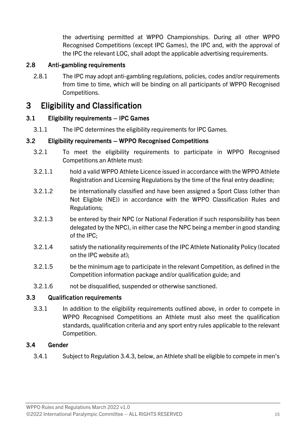the advertising permitted at WPPO Championships. During all other WPPO Recognised Competitions (except IPC Games), the IPC and, with the approval of the IPC the relevant LOC, shall adopt the applicable advertising requirements.

#### 2.8 Anti-gambling requirements

2.8.1 The IPC may adopt anti-gambling regulations, policies, codes and/or requirements from time to time, which will be binding on all participants of WPPO Recognised Competitions.

### <span id="page-16-0"></span>3 Eligibility and Classification

#### 3.1 Eligibility requirements – IPC Games

3.1.1 The IPC determines the eligibility requirements for IPC Games.

#### 3.2 Eligibility requirements – WPPO Recognised Competitions

- 3.2.1 To meet the eligibility requirements to participate in WPPO Recognised Competitions an Athlete must:
- 3.2.1.1 hold a valid WPPO Athlete Licence issued in accordance with the WPPO Athlete Registration and Licensing Regulations by the time of the final entry deadline;
- 3.2.1.2 be internationally classified and have been assigned a Sport Class (other than Not Eligible (NE)) in accordance with the WPPO Classification Rules and Regulations;
- 3.2.1.3 be entered by their NPC (or National Federation if such responsibility has been delegated by the NPC), in either case the NPC being a member in good standing of the IPC;
- 3.2.1.4 satisfy the nationality requirements of the IPC Athlete Nationality Policy (located on the IPC website at);
- 3.2.1.5 be the minimum age to participate in the relevant Competition, as defined in the Competition information package and/or qualification guide; and
- 3.2.1.6 not be disqualified, suspended or otherwise sanctioned.

#### 3.3 Qualification requirements

3.3.1 In addition to the eligibility requirements outlined above, in order to compete in WPPO Recognised Competitions an Athlete must also meet the qualification standards, qualification criteria and any sport entry rules applicable to the relevant Competition.

#### 3.4 Gender

3.4.1 Subject to Regulatio[n 3.4.3,](#page-17-2) below, an Athlete shall be eligible to compete in men's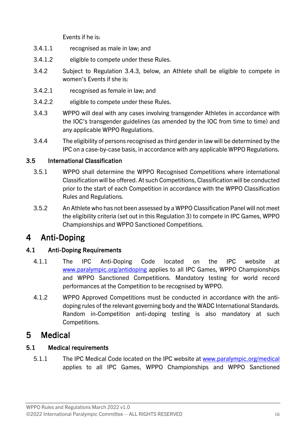Events if he is:

- 3.4.1.1 recognised as male in law; and
- 3.4.1.2 eligible to compete under these Rules.
- 3.4.2 Subject to Regulation [3.4.3,](#page-17-2) below, an Athlete shall be eligible to compete in women's Events if she is:
- 3.4.2.1 recognised as female in law; and
- 3.4.2.2 eligible to compete under these Rules.
- <span id="page-17-2"></span>3.4.3 WPPO will deal with any cases involving transgender Athletes in accordance with the IOC's transgender guidelines (as amended by the IOC from time to time) and any applicable WPPO Regulations.
- 3.4.4 The eligibility of persons recognised as third gender in law will be determined by the IPC on a case-by-case basis, in accordance with any applicable WPPO Regulations.

#### 3.5 International Classification

- 3.5.1 WPPO shall determine the WPPO Recognised Competitions where international Classification will be offered. At such Competitions, Classification will be conducted prior to the start of each Competition in accordance with the WPPO Classification Rules and Regulations.
- 3.5.2 An Athlete who has not been assessed by a WPPO Classification Panel will not meet the eligibility criteria (set out in this Regulation [3\)](#page-16-0) to compete in IPC Games, WPPO Championships and WPPO Sanctioned Competitions.

### <span id="page-17-0"></span>4 Anti-Doping

#### 4.1 Anti-Doping Requirements

- 4.1.1 The IPC Anti-Doping Code located on the IPC website at [www.paralympic.org/antidoping](https://paralympicorg.sharepoint.com/sites/IPC-World-Para-Powerlifting/Shared%20Documents/4.%20Governance/Rules%20and%20Regulations/2021/WPPO%20R&R%202021-2024/Working%20documents/New%20Rules/Rules_Share%20will%20Legal/FINAL%20DOCUMENTS/Final%20Rules%20&%20Regulations%20(word)/www.paralympic.org/antidoping) applies to all IPC Games, WPPO Championships and WPPO Sanctioned Competitions. Mandatory testing for world record performances at the Competition to be recognised by WPPO.
- 4.1.2 WPPO Approved Competitions must be conducted in accordance with the antidoping rules of the relevant governing body and the WADC International Standards. Random in-Competition anti-doping testing is also mandatory at such Competitions.

### <span id="page-17-1"></span>5 Medical

#### 5.1 Medical requirements

5.1.1 The IPC Medical Code located on the IPC website at [www.paralympic.org/medical](https://paralympicorg.sharepoint.com/sites/IPC-World-Para-Powerlifting/Shared%20Documents/4.%20Governance/Rules%20and%20Regulations/2021/WPPO%20R&R%202021-2024/Working%20documents/New%20Rules/Rules_Share%20will%20Legal/FINAL%20DOCUMENTS/Final%20Rules%20&%20Regulations%20(word)/www.paralympic.org/medical)  applies to all IPC Games, WPPO Championships and WPPO Sanctioned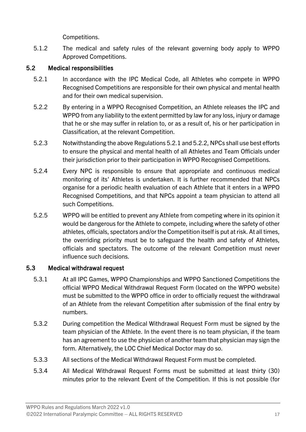Competitions.

5.1.2 The medical and safety rules of the relevant governing body apply to WPPO Approved Competitions.

#### 5.2 Medical responsibilities

- <span id="page-18-0"></span>5.2.1 In accordance with the IPC Medical Code, all Athletes who compete in WPPO Recognised Competitions are responsible for their own physical and mental health and for their own medical supervision.
- <span id="page-18-1"></span>5.2.2 By entering in a WPPO Recognised Competition, an Athlete releases the IPC and WPPO from any liability to the extent permitted by law for any loss, injury or damage that he or she may suffer in relation to, or as a result of, his or her participation in Classification, at the relevant Competition.
- 5.2.3 Notwithstanding the above Regulation[s 5.2.1](#page-18-0) an[d 5.2.2,](#page-18-1) NPCs shall use best efforts to ensure the physical and mental health of all Athletes and Team Officials under their jurisdiction prior to their participation in WPPO Recognised Competitions.
- 5.2.4 Every NPC is responsible to ensure that appropriate and continuous medical monitoring of its' Athletes is undertaken. It is further recommended that NPCs organise for a periodic health evaluation of each Athlete that it enters in a WPPO Recognised Competitions, and that NPCs appoint a team physician to attend all such Competitions.
- 5.2.5 WPPO will be entitled to prevent any Athlete from competing where in its opinion it would be dangerous for the Athlete to compete, including where the safety of other athletes, officials, spectators and/or the Competition itself is put at risk. At all times, the overriding priority must be to safeguard the health and safety of Athletes, officials and spectators. The outcome of the relevant Competition must never influence such decisions.

#### 5.3 Medical withdrawal request

- 5.3.1 At all IPC Games, WPPO Championships and WPPO Sanctioned Competitions the official WPPO Medical Withdrawal Request Form (located on the WPPO website) must be submitted to the WPPO office in order to officially request the withdrawal of an Athlete from the relevant Competition after submission of the final entry by numbers.
- 5.3.2 During competition the Medical Withdrawal Request Form must be signed by the team physician of the Athlete. In the event there is no team physician, if the team has an agreement to use the physician of another team that physician may sign the form. Alternatively, the LOC Chief Medical Doctor may do so.
- 5.3.3 All sections of the Medical Withdrawal Request Form must be completed.
- 5.3.4 All Medical Withdrawal Request Forms must be submitted at least thirty (30) minutes prior to the relevant Event of the Competition. If this is not possible (for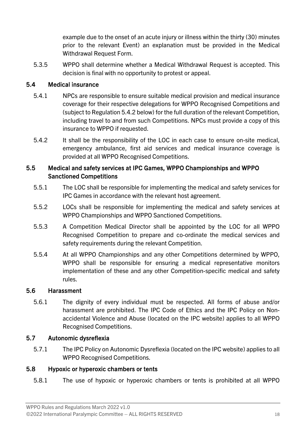example due to the onset of an acute injury or illness within the thirty (30) minutes prior to the relevant Event) an explanation must be provided in the Medical Withdrawal Request Form.

5.3.5 WPPO shall determine whether a Medical Withdrawal Request is accepted. This decision is final with no opportunity to protest or appeal.

#### 5.4 Medical insurance

- 5.4.1 NPCs are responsible to ensure suitable medical provision and medical insurance coverage for their respective delegations for WPPO Recognised Competitions and (subject to Regulatio[n 5.4.2](#page-19-0) below) for the full duration of the relevant Competition, including travel to and from such Competitions. NPCs must provide a copy of this insurance to WPPO if requested.
- <span id="page-19-0"></span>5.4.2 It shall be the responsibility of the LOC in each case to ensure on-site medical, emergency ambulance, first aid services and medical insurance coverage is provided at all WPPO Recognised Competitions.

#### 5.5 Medical and safety services at IPC Games, WPPO Championships and WPPO Sanctioned Competitions

- 5.5.1 The LOC shall be responsible for implementing the medical and safety services for IPC Games in accordance with the relevant host agreement.
- 5.5.2 LOCs shall be responsible for implementing the medical and safety services at WPPO Championships and WPPO Sanctioned Competitions.
- 5.5.3 A Competition Medical Director shall be appointed by the LOC for all WPPO Recognised Competition to prepare and co-ordinate the medical services and safety requirements during the relevant Competition.
- 5.5.4 At all WPPO Championships and any other Competitions determined by WPPO, WPPO shall be responsible for ensuring a medical representative monitors implementation of these and any other Competition-specific medical and safety rules.

#### 5.6 Harassment

5.6.1 The dignity of every individual must be respected. All forms of abuse and/or harassment are prohibited. The IPC Code of Ethics and the IPC Policy on Nonaccidental Violence and Abuse (located on the IPC website) applies to all WPPO Recognised Competitions.

#### 5.7 Autonomic dysreflexia

5.7.1 The IPC Policy on Autonomic Dysreflexia (located on the IPC website) applies to all WPPO Recognised Competitions.

#### 5.8 Hypoxic or hyperoxic chambers or tents

5.8.1 The use of hypoxic or hyperoxic chambers or tents is prohibited at all WPPO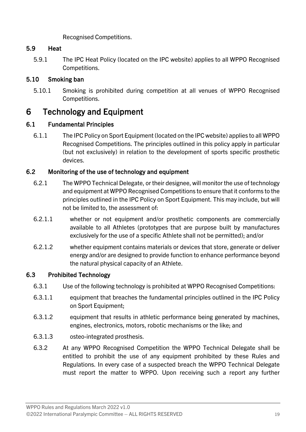Recognised Competitions.

#### 5.9 Heat

5.9.1 The IPC Heat Policy (located on the IPC website) applies to all WPPO Recognised Competitions.

#### 5.10 Smoking ban

5.10.1 Smoking is prohibited during competition at all venues of WPPO Recognised Competitions.

### <span id="page-20-0"></span>6 Technology and Equipment

#### 6.1 Fundamental Principles

6.1.1 The IPC Policy on Sport Equipment (located on the IPC website) applies to all WPPO Recognised Competitions. The principles outlined in this policy apply in particular (but not exclusively) in relation to the development of sports specific prosthetic devices.

#### 6.2 Monitoring of the use of technology and equipment

- 6.2.1 The WPPO Technical Delegate, or their designee, will monitor the use of technology and equipment at WPPO Recognised Competitions to ensure that it conforms to the principles outlined in the IPC Policy on Sport Equipment. This may include, but will not be limited to, the assessment of:
- 6.2.1.1 whether or not equipment and/or prosthetic components are commercially available to all Athletes (prototypes that are purpose built by manufactures exclusively for the use of a specific Athlete shall not be permitted); and/or
- 6.2.1.2 whether equipment contains materials or devices that store, generate or deliver energy and/or are designed to provide function to enhance performance beyond the natural physical capacity of an Athlete.

#### 6.3 Prohibited Technology

- 6.3.1 Use of the following technology is prohibited at WPPO Recognised Competitions:
- 6.3.1.1 equipment that breaches the fundamental principles outlined in the IPC Policy on Sport Equipment;
- 6.3.1.2 equipment that results in athletic performance being generated by machines, engines, electronics, motors, robotic mechanisms or the like; and
- 6.3.1.3 osteo-integrated prosthesis.
- 6.3.2 At any WPPO Recognised Competition the WPPO Technical Delegate shall be entitled to prohibit the use of any equipment prohibited by these Rules and Regulations. In every case of a suspected breach the WPPO Technical Delegate must report the matter to WPPO. Upon receiving such a report any further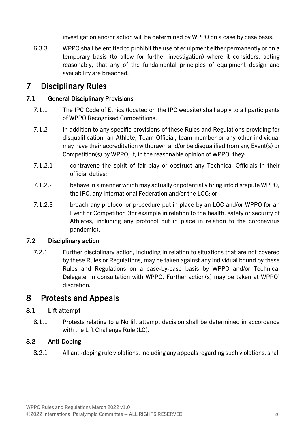investigation and/or action will be determined by WPPO on a case by case basis.

6.3.3 WPPO shall be entitled to prohibit the use of equipment either permanently or on a temporary basis (to allow for further investigation) where it considers, acting reasonably, that any of the fundamental principles of equipment design and availability are breached.

### <span id="page-21-0"></span>7 Disciplinary Rules

#### 7.1 General Disciplinary Provisions

- 7.1.1 The IPC Code of Ethics (located on the IPC website) shall apply to all participants of WPPO Recognised Competitions.
- 7.1.2 In addition to any specific provisions of these Rules and Regulations providing for disqualification, an Athlete, Team Official, team member or any other individual may have their accreditation withdrawn and/or be disqualified from any Event(s) or Competition(s) by WPPO, if, in the reasonable opinion of WPPO, they:
- 7.1.2.1 contravene the spirit of fair-play or obstruct any Technical Officials in their official duties;
- 7.1.2.2 behave in a manner which may actually or potentially bring into disrepute WPPO, the IPC, any International Federation and/or the LOC; or
- 7.1.2.3 breach any protocol or procedure put in place by an LOC and/or WPPO for an Event or Competition (for example in relation to the health, safety or security of Athletes, including any protocol put in place in relation to the coronavirus pandemic).

#### 7.2 Disciplinary action

7.2.1 Further disciplinary action, including in relation to situations that are not covered by these Rules or Regulations, may be taken against any individual bound by these Rules and Regulations on a case-by-case basis by WPPO and/or Technical Delegate, in consultation with WPPO. Further action(s) may be taken at WPPO' discretion.

### <span id="page-21-1"></span>8 Protests and Appeals

#### 8.1 Lift attempt

8.1.1 Protests relating to a No lift attempt decision shall be determined in accordance with the Lift Challenge Rule (LC).

#### 8.2 Anti-Doping

8.2.1 All anti-doping rule violations, including any appeals regarding such violations, shall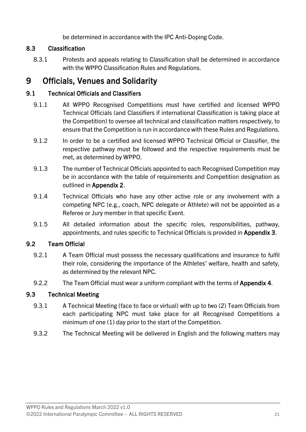be determined in accordance with the IPC Anti-Doping Code.

#### 8.3 Classification

8.3.1 Protests and appeals relating to Classification shall be determined in accordance with the WPPO Classification Rules and Regulations.

### <span id="page-22-0"></span>9 Officials, Venues and Solidarity

#### 9.1 Technical Officials and Classifiers

- 9.1.1 All WPPO Recognised Competitions must have certified and licensed WPPO Technical Officials (and Classifiers if international Classification is taking place at the Competition) to oversee all technical and classification matters respectively, to ensure that the Competition is run in accordance with these Rules and Regulations.
- 9.1.2 In order to be a certified and licensed WPPO Technical Official or Classifier, the respective pathway must be followed and the respective requirements must be met, as determined by WPPO.
- 9.1.3 The number of Technical Officials appointed to each Recognised Competition may be in accordance with the table of requirements and Competition designation as outlined in Appendix 2.
- 9.1.4 Technical Officials who have any other active role or any involvement with a competing NPC (e.g., coach, NPC delegate or Athlete) will not be appointed as a Referee or Jury member in that specific Event.
- 9.1.5 All detailed information about the specific roles, responsibilities, pathway, appointments, and rules specific to Technical Officials is provided in Appendix 3.

#### 9.2 Team Official

- 9.2.1 A Team Official must possess the necessary qualifications and insurance to fulfil their role, considering the importance of the Athletes' welfare, health and safety, as determined by the relevant NPC.
- 9.2.2 The Team Official must wear a uniform compliant with the terms of Appendix 4.

#### 9.3 Technical Meeting

- 9.3.1 A Technical Meeting (face to face or virtual) with up to two (2) Team Officials from each participating NPC must take place for all Recognised Competitions a minimum of one (1) day prior to the start of the Competition.
- 9.3.2 The Technical Meeting will be delivered in English and the following matters may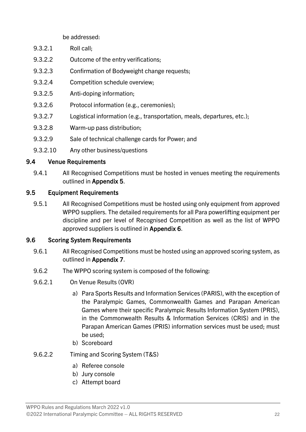be addressed:

- 9.3.2.1 Roll call;
- 9.3.2.2 Outcome of the entry verifications;
- 9.3.2.3 Confirmation of Bodyweight change requests;
- 9.3.2.4 Competition schedule overview;
- 9.3.2.5 Anti-doping information;
- 9.3.2.6 Protocol information (e.g., ceremonies);
- 9.3.2.7 Logistical information (e.g., transportation, meals, departures, etc.);
- 9.3.2.8 Warm-up pass distribution;
- 9.3.2.9 Sale of technical challenge cards for Power; and
- 9.3.2.10 Any other business/questions

#### 9.4 Venue Requirements

9.4.1 All Recognised Competitions must be hosted in venues meeting the requirements outlined in Appendix 5.

#### 9.5 Equipment Requirements

9.5.1 All Recognised Competitions must be hosted using only equipment from approved WPPO suppliers. The detailed requirements for all Para powerlifting equipment per discipline and per level of Recognised Competition as well as the list of WPPO approved suppliers is outlined in Appendix 6.

#### 9.6 Scoring System Requirements

- 9.6.1 All Recognised Competitions must be hosted using an approved scoring system, as outlined in Appendix 7.
- 9.6.2 The WPPO scoring system is composed of the following:
- 9.6.2.1 On Venue Results (OVR)
	- a) Para Sports Results and Information Services (PARIS), with the exception of the Paralympic Games, Commonwealth Games and Parapan American Games where their specific Paralympic Results Information System (PRIS), in the Commonwealth Results & Information Services (CRIS) and in the Parapan American Games (PRIS) information services must be used; must be used;
	- b) Scoreboard
- 9.6.2.2 Timing and Scoring System (T&S)
	- a) Referee console
	- b) Jury console
	- c) Attempt board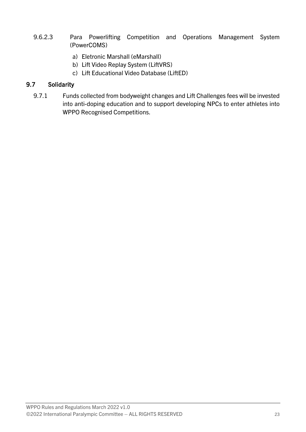- 9.6.2.3 Para Powerlifting Competition and Operations Management System (PowerCOMS)
	- a) Eletronic Marshall (eMarshall)
	- b) Lift Video Replay System (LiftVRS)
	- c) Lift Educational Video Database (LiftED)

#### 9.7 Solidarity

9.7.1 Funds collected from bodyweight changes and Lift Challenges fees will be invested into anti-doping education and to support developing NPCs to enter athletes into WPPO Recognised Competitions.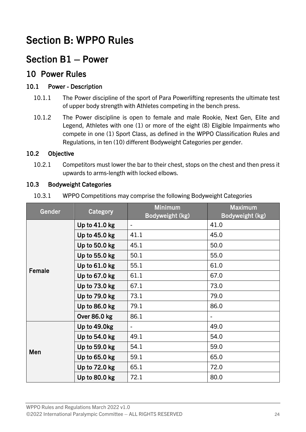### <span id="page-25-0"></span>Section B: WPPO Rules

### <span id="page-25-1"></span>Section B1 – Power

### <span id="page-25-2"></span>10 Power Rules

#### 10.1 Power - Description

- 10.1.1 The Power discipline of the sport of Para Powerlifting represents the ultimate test of upper body strength with Athletes competing in the bench press.
- 10.1.2 The Power discipline is open to female and male Rookie, Next Gen, Elite and Legend, Athletes with one (1) or more of the eight (8) Eligible Impairments who compete in one (1) Sport Class, as defined in the WPPO Classification Rules and Regulations, in ten (10) different Bodyweight Categories per gender.

#### 10.2 Objective

10.2.1 Competitors must lower the bar to their chest, stops on the chest and then press it upwards to arms-length with locked elbows.

#### 10.3 Bodyweight Categories

| 10.3.1 | WPPO Competitions may comprise the following Bodyweight Categories |  |
|--------|--------------------------------------------------------------------|--|
|--------|--------------------------------------------------------------------|--|

| Gender | Category        | <b>Minimum</b>  | <b>Maximum</b>  |
|--------|-----------------|-----------------|-----------------|
|        |                 | Bodyweight (kg) | Bodyweight (kg) |
|        | Up to $41.0$ kg | $\blacksquare$  | 41.0            |
|        | Up to 45.0 kg   | 41.1            | 45.0            |
|        | Up to 50.0 kg   | 45.1            | 50.0            |
|        | Up to 55.0 kg   | 50.1            | 55.0            |
| Female | Up to $61.0$ kg | 55.1            | 61.0            |
|        | Up to 67.0 kg   | 61.1            | 67.0            |
|        | Up to 73.0 kg   | 67.1            | 73.0            |
|        | Up to 79.0 kg   | 73.1            | 79.0            |
|        | Up to 86.0 kg   | 79.1            | 86.0            |
|        | Over 86.0 kg    | 86.1            |                 |
|        | Up to 49.0kg    |                 | 49.0            |
|        | Up to 54.0 kg   | 49.1            | 54.0            |
| Men    | Up to 59.0 kg   | 54.1            | 59.0            |
|        | Up to 65.0 kg   | 59.1            | 65.0            |
|        | Up to 72.0 kg   | 65.1            | 72.0            |
|        | Up to 80.0 kg   | 72.1            | 80.0            |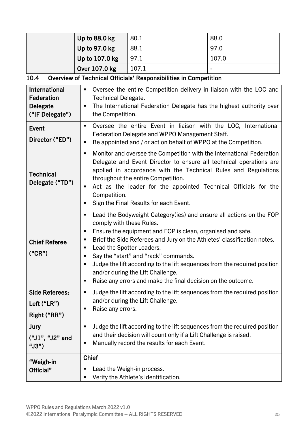|  | Up to 88.0 kg  | 80.1  | 88.0  |
|--|----------------|-------|-------|
|  | Up to 97.0 kg  | 88.1  | 97.0  |
|  | Up to 107.0 kg | 97.1  | 107.0 |
|  | Over 107.0 kg  | 107.1 | -     |

### 10.4 Overview of Technical Officials' Responsibilities in Competition

| <b>International</b><br>Federation<br><b>Delegate</b><br>("IF Delegate") | Oversee the entire Competition delivery in liaison with the LOC and<br>٠<br><b>Technical Delegate.</b><br>The International Federation Delegate has the highest authority over<br>п<br>the Competition.                                                                                                                                                                                                                                                                                                                             |  |  |
|--------------------------------------------------------------------------|-------------------------------------------------------------------------------------------------------------------------------------------------------------------------------------------------------------------------------------------------------------------------------------------------------------------------------------------------------------------------------------------------------------------------------------------------------------------------------------------------------------------------------------|--|--|
| Event<br>Director ("ED")                                                 | Oversee the entire Event in liaison with the LOC, International<br>٠<br>Federation Delegate and WPPO Management Staff.<br>Be appointed and / or act on behalf of WPPO at the Competition.<br>п                                                                                                                                                                                                                                                                                                                                      |  |  |
| <b>Technical</b><br>Delegate ("TD")                                      | Monitor and oversee the Competition with the International Federation<br>п<br>Delegate and Event Director to ensure all technical operations are<br>applied in accordance with the Technical Rules and Regulations<br>throughout the entire Competition.<br>Act as the leader for the appointed Technical Officials for the<br>п<br>Competition.<br>Sign the Final Results for each Event.                                                                                                                                          |  |  |
| <b>Chief Referee</b><br>("CR")                                           | Lead the Bodyweight Category (ies) and ensure all actions on the FOP<br>ш<br>comply with these Rules.<br>Ensure the equipment and FOP is clean, organised and safe.<br>п<br>Brief the Side Referees and Jury on the Athletes' classification notes.<br>ш<br>Lead the Spotter Loaders.<br>ш<br>Say the "start" and "rack" commands.<br>п<br>Judge the lift according to the lift sequences from the required position<br>п<br>and/or during the Lift Challenge.<br>Raise any errors and make the final decision on the outcome.<br>ш |  |  |
| <b>Side Referees:</b><br>Left ("LR")<br>Right ("RR")                     | Judge the lift according to the lift sequences from the required position<br>ш<br>and/or during the Lift Challenge.<br>Raise any errors.<br>п                                                                                                                                                                                                                                                                                                                                                                                       |  |  |
| Jury<br>("J1", "J2" and<br>" $JS"$ )                                     | Judge the lift according to the lift sequences from the required position<br>٠<br>and their decision will count only if a Lift Challenge is raised.<br>Manually record the results for each Event.<br>٠                                                                                                                                                                                                                                                                                                                             |  |  |
| "Weigh-in<br>Official"                                                   | <b>Chief</b><br>Lead the Weigh-in process.<br>Verify the Athlete's identification.<br>ш                                                                                                                                                                                                                                                                                                                                                                                                                                             |  |  |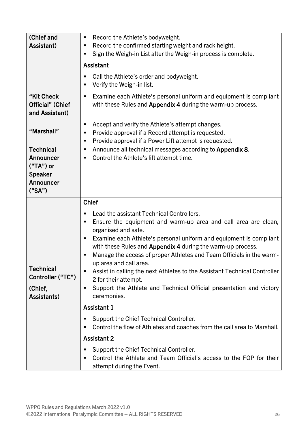| (Chief and<br>Assistant)                                                              | Record the Athlete's bodyweight.<br>ш<br>Record the confirmed starting weight and rack height.<br>п<br>Sign the Weigh-in List after the Weigh-in process is complete.<br>٠                                                                                                                                                                                                                                                                                                                                                                                                                    |  |  |
|---------------------------------------------------------------------------------------|-----------------------------------------------------------------------------------------------------------------------------------------------------------------------------------------------------------------------------------------------------------------------------------------------------------------------------------------------------------------------------------------------------------------------------------------------------------------------------------------------------------------------------------------------------------------------------------------------|--|--|
|                                                                                       | Assistant                                                                                                                                                                                                                                                                                                                                                                                                                                                                                                                                                                                     |  |  |
|                                                                                       | Call the Athlete's order and bodyweight.<br>п<br>Verify the Weigh-in list.<br>٠                                                                                                                                                                                                                                                                                                                                                                                                                                                                                                               |  |  |
| "Kit Check<br>Official" (Chief<br>and Assistant)                                      | Examine each Athlete's personal uniform and equipment is compliant<br>ш<br>with these Rules and Appendix 4 during the warm-up process.                                                                                                                                                                                                                                                                                                                                                                                                                                                        |  |  |
| "Marshall"                                                                            | Accept and verify the Athlete's attempt changes.<br>٠<br>Provide approval if a Record attempt is requested.<br>ш<br>Provide approval if a Power Lift attempt is requested.<br>ш                                                                                                                                                                                                                                                                                                                                                                                                               |  |  |
| <b>Technical</b><br>Announcer<br>$("TA")$ or<br><b>Speaker</b><br>Announcer<br>("SA") | Announce all technical messages according to Appendix 8.<br>ш<br>Control the Athlete's lift attempt time.<br>ш                                                                                                                                                                                                                                                                                                                                                                                                                                                                                |  |  |
|                                                                                       | <b>Chief</b>                                                                                                                                                                                                                                                                                                                                                                                                                                                                                                                                                                                  |  |  |
| <b>Technical</b><br>Controller ("TC")<br>(Chief,<br>Assistants)                       | Lead the assistant Technical Controllers.<br>Ensure the equipment and warm-up area and call area are clean,<br>٠<br>organised and safe.<br>Examine each Athlete's personal uniform and equipment is compliant<br>п<br>with these Rules and Appendix 4 during the warm-up process.<br>Manage the access of proper Athletes and Team Officials in the warm-<br>п<br>up area and call area.<br>Assist in calling the next Athletes to the Assistant Technical Controller<br>ш<br>2 for their attempt.<br>Support the Athlete and Technical Official presentation and victory<br>٠<br>ceremonies. |  |  |
|                                                                                       | <b>Assistant 1</b>                                                                                                                                                                                                                                                                                                                                                                                                                                                                                                                                                                            |  |  |
|                                                                                       | Support the Chief Technical Controller.<br>Control the flow of Athletes and coaches from the call area to Marshall.                                                                                                                                                                                                                                                                                                                                                                                                                                                                           |  |  |
|                                                                                       | <b>Assistant 2</b>                                                                                                                                                                                                                                                                                                                                                                                                                                                                                                                                                                            |  |  |
|                                                                                       | Support the Chief Technical Controller.<br>п<br>Control the Athlete and Team Official's access to the FOP for their<br>٠<br>attempt during the Event.                                                                                                                                                                                                                                                                                                                                                                                                                                         |  |  |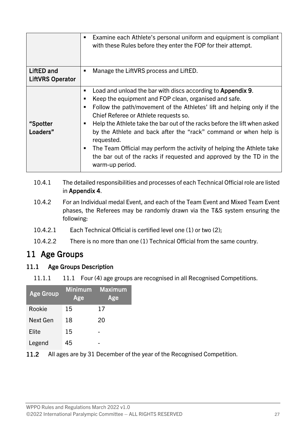|                                       | Examine each Athlete's personal uniform and equipment is compliant<br>٠<br>with these Rules before they enter the FOP for their attempt.                                                                                                                                                                                                                                                                                                                                                                                                                                        |
|---------------------------------------|---------------------------------------------------------------------------------------------------------------------------------------------------------------------------------------------------------------------------------------------------------------------------------------------------------------------------------------------------------------------------------------------------------------------------------------------------------------------------------------------------------------------------------------------------------------------------------|
| LiftED and<br><b>LiftVRS Operator</b> | Manage the Lift VRS process and Lift ED.<br>■                                                                                                                                                                                                                                                                                                                                                                                                                                                                                                                                   |
| <b>"Spotter</b><br>Loaders"           | Load and unload the bar with discs according to Appendix 9.<br>Keep the equipment and FOP clean, organised and safe.<br>Follow the path/movement of the Athletes' lift and helping only if the<br>Chief Referee or Athlete requests so.<br>Help the Athlete take the bar out of the racks before the lift when asked<br>by the Athlete and back after the "rack" command or when help is<br>requested.<br>The Team Official may perform the activity of helping the Athlete take<br>٠<br>the bar out of the racks if requested and approved by the TD in the<br>warm-up period. |

- 10.4.1 The detailed responsibilities and processes of each Technical Official role are listed in Appendix 4.
- 10.4.2 For an Individual medal Event, and each of the Team Event and Mixed Team Event phases, the Referees may be randomly drawn via the T&S system ensuring the following:
- 10.4.2.1 Each Technical Official is certified level one (1) or two (2);
- 10.4.2.2 There is no more than one (1) Technical Official from the same country.

### <span id="page-28-0"></span>11 Age Groups

#### 11.1 Age Groups Description

11.1.1 11.1 Four (4) age groups are recognised in all Recognised Competitions.

| <b>Age Group</b> | <b>Minimum</b><br>Age | <b>Maximum</b><br>Age |
|------------------|-----------------------|-----------------------|
| Rookie           | 15                    | 17                    |
| Next Gen         | 18                    | 20                    |
| Elite            | 15                    |                       |
| Legend           | 45                    |                       |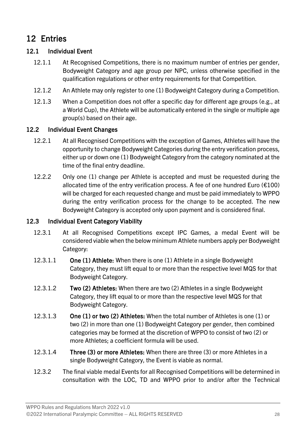### <span id="page-29-0"></span>12 Entries

#### 12.1 Individual Event

- 12.1.1 At Recognised Competitions, there is no maximum number of entries per gender, Bodyweight Category and age group per NPC, unless otherwise specified in the qualification regulations or other entry requirements for that Competition.
- 12.1.2 An Athlete may only register to one (1) Bodyweight Category during a Competition.
- 12.1.3 When a Competition does not offer a specific day for different age groups (e.g., at a World Cup), the Athlete will be automatically entered in the single or multiple age group(s) based on their age.

#### 12.2 Individual Event Changes

- 12.2.1 At all Recognised Competitions with the exception of Games, Athletes will have the opportunity to change Bodyweight Categories during the entry verification process, either up or down one (1) Bodyweight Category from the category nominated at the time of the final entry deadline.
- 12.2.2 Only one (1) change per Athlete is accepted and must be requested during the allocated time of the entry verification process. A fee of one hundred Euro ( $E100$ ) will be charged for each requested change and must be paid immediately to WPPO during the entry verification process for the change to be accepted. The new Bodyweight Category is accepted only upon payment and is considered final.

#### 12.3 Individual Event Category Viability

- 12.3.1 At all Recognised Competitions except IPC Games, a medal Event will be considered viable when the below minimum Athlete numbers apply per Bodyweight Category:
- 12.3.1.1 One (1) Athlete: When there is one (1) Athlete in a single Bodyweight Category, they must lift equal to or more than the respective level MQS for that Bodyweight Category.
- 12.3.1.2 Two (2) Athletes: When there are two (2) Athletes in a single Bodyweight Category, they lift equal to or more than the respective level MQS for that Bodyweight Category.
- 12.3.1.3 One (1) or two (2) Athletes: When the total number of Athletes is one (1) or two (2) in more than one (1) Bodyweight Category per gender, then combined categories may be formed at the discretion of WPPO to consist of two (2) or more Athletes; a coefficient formula will be used.
- 12.3.1.4 Three (3) or more Athletes: When there are three (3) or more Athletes in a single Bodyweight Category, the Event is viable as normal.
- 12.3.2 The final viable medal Events for all Recognised Competitions will be determined in consultation with the LOC, TD and WPPO prior to and/or after the Technical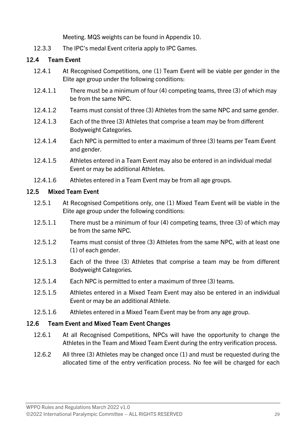Meeting. MQS weights can be found in Appendix 10.

12.3.3 The IPC's medal Event criteria apply to IPC Games.

#### 12.4 Team Event

- 12.4.1 At Recognised Competitions, one (1) Team Event will be viable per gender in the Elite age group under the following conditions:
- 12.4.1.1 There must be a minimum of four (4) competing teams, three (3) of which may be from the same NPC.
- 12.4.1.2 Teams must consist of three (3) Athletes from the same NPC and same gender.
- 12.4.1.3 Each of the three (3) Athletes that comprise a team may be from different Bodyweight Categories.
- 12.4.1.4 Each NPC is permitted to enter a maximum of three (3) teams per Team Event and gender.
- 12.4.1.5 Athletes entered in a Team Event may also be entered in an individual medal Event or may be additional Athletes.
- 12.4.1.6 Athletes entered in a Team Event may be from all age groups.

#### 12.5 Mixed Team Event

- 12.5.1 At Recognised Competitions only, one (1) Mixed Team Event will be viable in the Elite age group under the following conditions:
- 12.5.1.1 There must be a minimum of four (4) competing teams, three (3) of which may be from the same NPC.
- 12.5.1.2 Teams must consist of three (3) Athletes from the same NPC, with at least one (1) of each gender.
- 12.5.1.3 Each of the three (3) Athletes that comprise a team may be from different Bodyweight Categories.
- 12.5.1.4 Each NPC is permitted to enter a maximum of three (3) teams.
- 12.5.1.5 Athletes entered in a Mixed Team Event may also be entered in an individual Event or may be an additional Athlete.
- 12.5.1.6 Athletes entered in a Mixed Team Event may be from any age group.

#### 12.6 Team Event and Mixed Team Event Changes

- 12.6.1 At all Recognised Competitions, NPCs will have the opportunity to change the Athletes in the Team and Mixed Team Event during the entry verification process.
- 12.6.2 All three (3) Athletes may be changed once (1) and must be requested during the allocated time of the entry verification process. No fee will be charged for each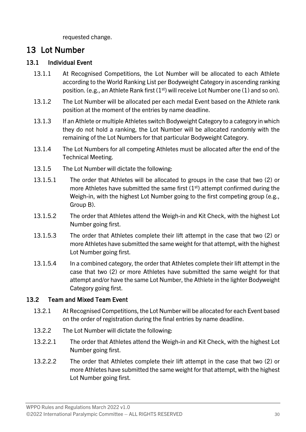requested change.

### <span id="page-31-0"></span>13 Lot Number

#### 13.1 Individual Event

- 13.1.1 At Recognised Competitions, the Lot Number will be allocated to each Athlete according to the World Ranking List per Bodyweight Category in ascending ranking position. (e.g., an Athlete Rank first  $(1<sup>st</sup>)$  will receive Lot Number one (1) and so on).
- 13.1.2 The Lot Number will be allocated per each medal Event based on the Athlete rank position at the moment of the entries by name deadline.
- 13.1.3 If an Athlete or multiple Athletes switch Bodyweight Category to a category in which they do not hold a ranking, the Lot Number will be allocated randomly with the remaining of the Lot Numbers for that particular Bodyweight Category.
- 13.1.4 The Lot Numbers for all competing Athletes must be allocated after the end of the Technical Meeting.
- 13.1.5 The Lot Number will dictate the following:
- 13.1.5.1 The order that Athletes will be allocated to groups in the case that two (2) or more Athletes have submitted the same first  $(1<sup>st</sup>)$  attempt confirmed during the Weigh-in, with the highest Lot Number going to the first competing group (e.g., Group B).
- 13.1.5.2 The order that Athletes attend the Weigh-in and Kit Check, with the highest Lot Number going first.
- 13.1.5.3 The order that Athletes complete their lift attempt in the case that two (2) or more Athletes have submitted the same weight for that attempt, with the highest Lot Number going first.
- 13.1.5.4 In a combined category, the order that Athletes complete their lift attempt in the case that two (2) or more Athletes have submitted the same weight for that attempt and/or have the same Lot Number, the Athlete in the lighter Bodyweight Category going first.

#### 13.2 Team and Mixed Team Event

- 13.2.1 At Recognised Competitions, the Lot Number will be allocated for each Event based on the order of registration during the final entries by name deadline.
- 13.2.2 The Lot Number will dictate the following:
- 13.2.2.1 The order that Athletes attend the Weigh-in and Kit Check, with the highest Lot Number going first.
- 13.2.2.2 The order that Athletes complete their lift attempt in the case that two (2) or more Athletes have submitted the same weight for that attempt, with the highest Lot Number going first.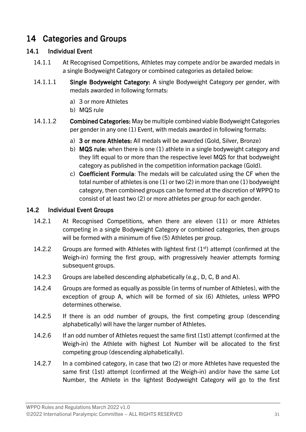### <span id="page-32-0"></span>14 Categories and Groups

#### 14.1 Individual Event

- 14.1.1 At Recognised Competitions, Athletes may compete and/or be awarded medals in a single Bodyweight Category or combined categories as detailed below:
- 14.1.1.1 Single Bodyweight Category: A single Bodyweight Category per gender, with medals awarded in following formats:
	- a) 3 or more Athletes
	- b) MQS rule
- 14.1.1.2 Combined Categories: May be multiple combined viable Bodyweight Categories per gender in any one (1) Event, with medals awarded in following formats:
	- a) 3 or more Athletes: All medals will be awarded (Gold, Silver, Bronze)
	- b) MQS rule: when there is one (1) athlete in a single bodyweight category and they lift equal to or more than the respective level MQS for that bodyweight category as published in the competition information package (Gold).
	- c) Coefficient Formula: The medals will be calculated using the CF when the total number of athletes is one (1) or two (2) in more than one (1) bodyweight category, then combined groups can be formed at the discretion of WPPO to consist of at least two (2) or more athletes per group for each gender.

#### 14.2 Individual Event Groups

- 14.2.1 At Recognised Competitions, when there are eleven (11) or more Athletes competing in a single Bodyweight Category or combined categories, then groups will be formed with a minimum of five (5) Athletes per group.
- 14.2.2 Groups are formed with Athletes with lightest first  $(1<sup>st</sup>)$  attempt (confirmed at the Weigh-in) forming the first group, with progressively heavier attempts forming subsequent groups.
- 14.2.3 Groups are labelled descending alphabetically (e.g., D, C, B and A).
- 14.2.4 Groups are formed as equally as possible (in terms of number of Athletes), with the exception of group A, which will be formed of six (6) Athletes, unless WPPO determines otherwise.
- 14.2.5 If there is an odd number of groups, the first competing group (descending alphabetically) will have the larger number of Athletes.
- 14.2.6 If an odd number of Athletes request the same first (1st) attempt (confirmed at the Weigh-in) the Athlete with highest Lot Number will be allocated to the first competing group (descending alphabetically).
- 14.2.7 In a combined category, in case that two (2) or more Athletes have requested the same first (1st) attempt (confirmed at the Weigh-in) and/or have the same Lot Number, the Athlete in the lightest Bodyweight Category will go to the first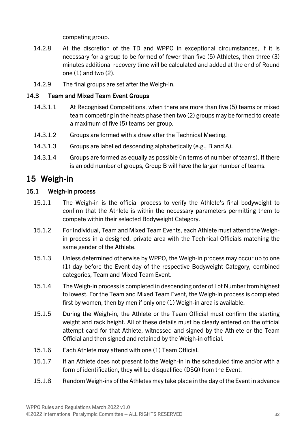competing group.

- 14.2.8 At the discretion of the TD and WPPO in exceptional circumstances, if it is necessary for a group to be formed of fewer than five (5) Athletes, then three (3) minutes additional recovery time will be calculated and added at the end of Round one (1) and two (2).
- 14.2.9 The final groups are set after the Weigh-in.

#### 14.3 Team and Mixed Team Event Groups

- 14.3.1.1 At Recognised Competitions, when there are more than five (5) teams or mixed team competing in the heats phase then two (2) groups may be formed to create a maximum of five (5) teams per group.
- 14.3.1.2 Groups are formed with a draw after the Technical Meeting.
- 14.3.1.3 Groups are labelled descending alphabetically (e.g., B and A).
- 14.3.1.4 Groups are formed as equally as possible (in terms of number of teams). If there is an odd number of groups, Group B will have the larger number of teams.

### <span id="page-33-0"></span>15 Weigh-in

#### 15.1 Weigh-in process

- 15.1.1 The Weigh-in is the official process to verify the Athlete's final bodyweight to confirm that the Athlete is within the necessary parameters permitting them to compete within their selected Bodyweight Category.
- 15.1.2 For Individual, Team and Mixed Team Events, each Athlete must attend the Weighin process in a designed, private area with the Technical Officials matching the same gender of the Athlete.
- 15.1.3 Unless determined otherwise by WPPO, the Weigh-in process may occur up to one (1) day before the Event day of the respective Bodyweight Category, combined categories, Team and Mixed Team Event.
- 15.1.4 The Weigh-in process is completed in descending order of Lot Number from highest to lowest. For the Team and Mixed Team Event, the Weigh-in process is completed first by women, then by men if only one (1) Weigh-in area is available.
- 15.1.5 During the Weigh-in, the Athlete or the Team Official must confirm the starting weight and rack height. All of these details must be clearly entered on the official attempt card for that Athlete, witnessed and signed by the Athlete or the Team Official and then signed and retained by the Weigh-in official.
- 15.1.6 Each Athlete may attend with one (1) Team Official.
- 15.1.7 If an Athlete does not present to the Weigh-in in the scheduled time and/or with a form of identification, they will be disqualified (DSQ) from the Event.
- 15.1.8 Random Weigh-ins of the Athletes may take place in the day of the Event in advance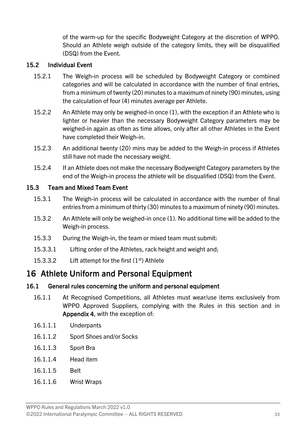of the warm-up for the specific Bodyweight Category at the discretion of WPPO. Should an Athlete weigh outside of the category limits, they will be disqualified (DSQ) from the Event.

#### 15.2 Individual Event

- 15.2.1 The Weigh-in process will be scheduled by Bodyweight Category or combined categories and will be calculated in accordance with the number of final entries, from a minimum of twenty (20) minutes to a maximum of ninety (90) minutes, using the calculation of four (4) minutes average per Athlete.
- 15.2.2 An Athlete may only be weighed-in once (1), with the exception if an Athlete who is lighter or heavier than the necessary Bodyweight Category parameters may be weighed-in again as often as time allows, only after all other Athletes in the Event have completed their Weigh-in.
- 15.2.3 An additional twenty (20) mins may be added to the Weigh-in process if Athletes still have not made the necessary weight.
- 15.2.4 If an Athlete does not make the necessary Bodyweight Category parameters by the end of the Weigh-in process the athlete will be disqualified (DSQ) from the Event.

#### 15.3 Team and Mixed Team Event

- 15.3.1 The Weigh-in process will be calculated in accordance with the number of final entries from a minimum of thirty (30) minutes to a maximum of ninety (90) minutes.
- 15.3.2 An Athlete will only be weighed-in once (1). No additional time will be added to the Weigh-in process.
- 15.3.3 During the Weigh-in, the team or mixed team must submit:
- 15.3.3.1 Lifting order of the Athletes, rack height and weight and;
- 15.3.3.2 Lift attempt for the first  $(1<sup>st</sup>)$  Athlete

### <span id="page-34-0"></span>16 Athlete Uniform and Personal Equipment

#### 16.1 General rules concerning the uniform and personal equipment

- 16.1.1 At Recognised Competitions, all Athletes must wear/use items exclusively from WPPO Approved Suppliers, complying with the Rules in this section and in Appendix 4, with the exception of:
- 16.1.1.1 Underpants
- 16.1.1.2 Sport Shoes and/or Socks
- 16.1.1.3 Sport Bra
- 16.1.1.4 Head item
- 16.1.1.5 Belt
- 16.1.1.6 Wrist Wraps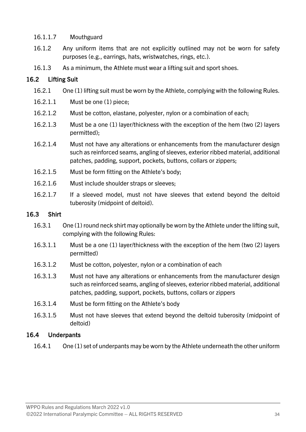#### 16.1.1.7 Mouthguard

- 16.1.2 Any uniform items that are not explicitly outlined may not be worn for safety purposes (e.g., earrings, hats, wristwatches, rings, etc.).
- 16.1.3 As a minimum, the Athlete must wear a lifting suit and sport shoes.

#### 16.2 Lifting Suit

- 16.2.1 One (1) lifting suit must be worn by the Athlete, complying with the following Rules.
- 16.2.1.1 Must be one (1) piece;
- 16.2.1.2 Must be cotton, elastane, polyester, nylon or a combination of each;
- 16.2.1.3 Must be a one (1) layer/thickness with the exception of the hem (two (2) layers permitted);
- 16.2.1.4 Must not have any alterations or enhancements from the manufacturer design such as reinforced seams, angling of sleeves, exterior ribbed material, additional patches, padding, support, pockets, buttons, collars or zippers;
- 16.2.1.5 Must be form fitting on the Athlete's body;
- 16.2.1.6 Must include shoulder straps or sleeves;
- 16.2.1.7 If a sleeved model, must not have sleeves that extend beyond the deltoid tuberosity (midpoint of deltoid).

#### 16.3 Shirt

- 16.3.1 One (1) round neck shirt may optionally be worn by the Athlete under the lifting suit, complying with the following Rules:
- 16.3.1.1 Must be a one (1) layer/thickness with the exception of the hem (two (2) layers permitted)
- 16.3.1.2 Must be cotton, polyester, nylon or a combination of each
- 16.3.1.3 Must not have any alterations or enhancements from the manufacturer design such as reinforced seams, angling of sleeves, exterior ribbed material, additional patches, padding, support, pockets, buttons, collars or zippers
- 16.3.1.4 Must be form fitting on the Athlete's body
- 16.3.1.5 Must not have sleeves that extend beyond the deltoid tuberosity (midpoint of deltoid)

#### 16.4 Underpants

16.4.1 One (1) set of underpants may be worn by the Athlete underneath the other uniform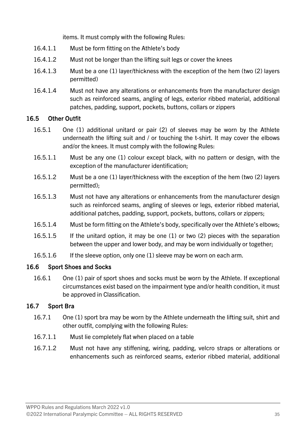items. It must comply with the following Rules:

- 16.4.1.1 Must be form fitting on the Athlete's body
- 16.4.1.2 Must not be longer than the lifting suit legs or cover the knees
- 16.4.1.3 Must be a one (1) layer/thickness with the exception of the hem (two (2) layers permitted)
- 16.4.1.4 Must not have any alterations or enhancements from the manufacturer design such as reinforced seams, angling of legs, exterior ribbed material, additional patches, padding, support, pockets, buttons, collars or zippers

#### 16.5 Other Outfit

- 16.5.1 One (1) additional unitard or pair (2) of sleeves may be worn by the Athlete underneath the lifting suit and / or touching the t-shirt. It may cover the elbows and/or the knees. It must comply with the following Rules:
- 16.5.1.1 Must be any one (1) colour except black, with no pattern or design, with the exception of the manufacturer identification;
- 16.5.1.2 Must be a one (1) layer/thickness with the exception of the hem (two (2) layers permitted);
- 16.5.1.3 Must not have any alterations or enhancements from the manufacturer design such as reinforced seams, angling of sleeves or legs, exterior ribbed material, additional patches, padding, support, pockets, buttons, collars or zippers;
- 16.5.1.4 Must be form fitting on the Athlete's body, specifically over the Athlete's elbows;
- 16.5.1.5 If the unitard option, it may be one (1) or two (2) pieces with the separation between the upper and lower body, and may be worn individually or together;
- 16.5.1.6 If the sleeve option, only one (1) sleeve may be worn on each arm.

#### 16.6 Sport Shoes and Socks

16.6.1 One (1) pair of sport shoes and socks must be worn by the Athlete. If exceptional circumstances exist based on the impairment type and/or health condition, it must be approved in Classification.

#### 16.7 Sport Bra

- 16.7.1 One (1) sport bra may be worn by the Athlete underneath the lifting suit, shirt and other outfit, complying with the following Rules:
- 16.7.1.1 Must lie completely flat when placed on a table
- 16.7.1.2 Must not have any stiffening, wiring, padding, velcro straps or alterations or enhancements such as reinforced seams, exterior ribbed material, additional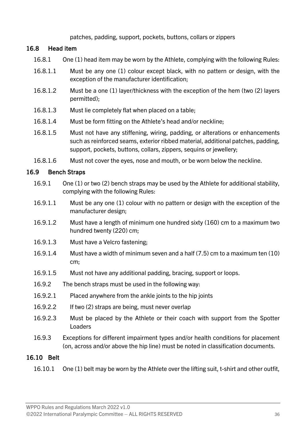#### patches, padding, support, pockets, buttons, collars or zippers

#### 16.8 Head item

- 16.8.1 One (1) head item may be worn by the Athlete, complying with the following Rules:
- 16.8.1.1 Must be any one (1) colour except black, with no pattern or design, with the exception of the manufacturer identification;
- 16.8.1.2 Must be a one (1) layer/thickness with the exception of the hem (two (2) layers permitted);
- 16.8.1.3 Must lie completely flat when placed on a table;
- 16.8.1.4 Must be form fitting on the Athlete's head and/or neckline;
- 16.8.1.5 Must not have any stiffening, wiring, padding, or alterations or enhancements such as reinforced seams, exterior ribbed material, additional patches, padding, support, pockets, buttons, collars, zippers, sequins or jewellery;
- 16.8.1.6 Must not cover the eyes, nose and mouth, or be worn below the neckline.

#### <span id="page-37-0"></span>16.9 Bench Straps

- 16.9.1 One (1) or two (2) bench straps may be used by the Athlete for additional stability, complying with the following Rules:
- 16.9.1.1 Must be any one (1) colour with no pattern or design with the exception of the manufacturer design;
- 16.9.1.2 Must have a length of minimum one hundred sixty (160) cm to a maximum two hundred twenty (220) cm;
- 16.9.1.3 Must have a Velcro fastening;
- 16.9.1.4 Must have a width of minimum seven and a half (7.5) cm to a maximum ten (10) cm;
- 16.9.1.5 Must not have any additional padding, bracing, support or loops.
- 16.9.2 The bench straps must be used in the following way:
- 16.9.2.1 Placed anywhere from the ankle joints to the hip joints
- 16.9.2.2 If two (2) straps are being, must never overlap
- 16.9.2.3 Must be placed by the Athlete or their coach with support from the Spotter Loaders
- 16.9.3 Exceptions for different impairment types and/or health conditions for placement (on, across and/or above the hip line) must be noted in classification documents.

#### 16.10 Belt

16.10.1 One (1) belt may be worn by the Athlete over the lifting suit, t-shirt and other outfit,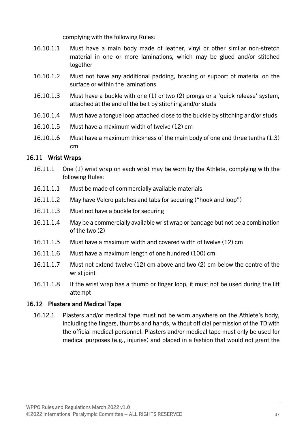complying with the following Rules:

- 16.10.1.1 Must have a main body made of leather, vinyl or other similar non-stretch material in one or more laminations, which may be glued and/or stitched together
- 16.10.1.2 Must not have any additional padding, bracing or support of material on the surface or within the laminations
- 16.10.1.3 Must have a buckle with one (1) or two (2) prongs or a 'quick release' system, attached at the end of the belt by stitching and/or studs
- 16.10.1.4 Must have a tongue loop attached close to the buckle by stitching and/or studs
- 16.10.1.5 Must have a maximum width of twelve (12) cm
- 16.10.1.6 Must have a maximum thickness of the main body of one and three tenths (1.3) cm

#### 16.11 Wrist Wraps

- 16.11.1 One (1) wrist wrap on each wrist may be worn by the Athlete, complying with the following Rules:
- 16.11.1.1 Must be made of commercially available materials
- 16.11.1.2 May have Velcro patches and tabs for securing ("hook and loop")
- 16.11.1.3 Must not have a buckle for securing
- 16.11.1.4 May be a commercially available wrist wrap or bandage but not be a combination of the two (2)
- 16.11.1.5 Must have a maximum width and covered width of twelve (12) cm
- 16.11.1.6 Must have a maximum length of one hundred (100) cm
- 16.11.1.7 Must not extend twelve (12) cm above and two (2) cm below the centre of the wrist joint
- 16.11.1.8 If the wrist wrap has a thumb or finger loop, it must not be used during the lift attempt

#### 16.12 Plasters and Medical Tape

16.12.1 Plasters and/or medical tape must not be worn anywhere on the Athlete's body, including the fingers, thumbs and hands, without official permission of the TD with the official medical personnel. Plasters and/or medical tape must only be used for medical purposes (e.g., injuries) and placed in a fashion that would not grant the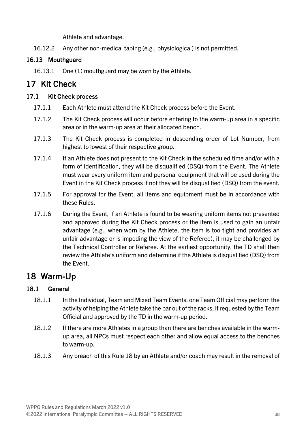Athlete and advantage.

16.12.2 Any other non-medical taping (e.g., physiological) is not permitted.

#### 16.13 Mouthguard

16.13.1 One (1) mouthguard may be worn by the Athlete.

### <span id="page-39-0"></span>17 Kit Check

#### 17.1 Kit Check process

- 17.1.1 Each Athlete must attend the Kit Check process before the Event.
- 17.1.2 The Kit Check process will occur before entering to the warm-up area in a specific area or in the warm-up area at their allocated bench.
- 17.1.3 The Kit Check process is completed in descending order of Lot Number, from highest to lowest of their respective group.
- 17.1.4 If an Athlete does not present to the Kit Check in the scheduled time and/or with a form of identification, they will be disqualified (DSQ) from the Event. The Athlete must wear every uniform item and personal equipment that will be used during the Event in the Kit Check process if not they will be disqualified (DSQ) from the event.
- 17.1.5 For approval for the Event, all items and equipment must be in accordance with these Rules.
- 17.1.6 During the Event, if an Athlete is found to be wearing uniform items not presented and approved during the Kit Check process or the item is used to gain an unfair advantage (e.g., when worn by the Athlete, the item is too tight and provides an unfair advantage or is impeding the view of the Referee), it may be challenged by the Technical Controller or Referee. At the earliest opportunity, the TD shall then review the Athlete's uniform and determine if the Athlete is disqualified (DSQ) from the Event.

### <span id="page-39-1"></span>18 Warm-Up

#### 18.1 General

- 18.1.1 In the Individual, Team and Mixed Team Events, one Team Official may perform the activity of helping the Athlete take the bar out of the racks, if requested by the Team Official and approved by the TD in the warm-up period.
- 18.1.2 If there are more Athletes in a group than there are benches available in the warmup area, all NPCs must respect each other and allow equal access to the benches to warm-up.
- 18.1.3 Any breach of this Rule [18](#page-39-1) by an Athlete and/or coach may result in the removal of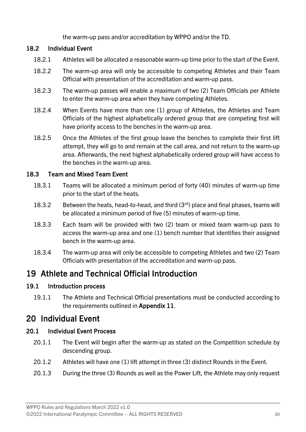the warm-up pass and/or accreditation by WPPO and/or the TD.

#### 18.2 Individual Event

- 18.2.1 Athletes will be allocated a reasonable warm-up time prior to the start of the Event.
- 18.2.2 The warm-up area will only be accessible to competing Athletes and their Team Official with presentation of the accreditation and warm-up pass.
- 18.2.3 The warm-up passes will enable a maximum of two (2) Team Officials per Athlete to enter the warm-up area when they have competing Athletes.
- 18.2.4 When Events have more than one (1) group of Athletes, the Athletes and Team Officials of the highest alphabetically ordered group that are competing first will have priority access to the benches in the warm-up area.
- 18.2.5 Once the Athletes of the first group leave the benches to complete their first lift attempt, they will go to and remain at the call area, and not return to the warm-up area. Afterwards, the next highest alphabetically ordered group will have access to the benches in the warm-up area.

#### 18.3 Team and Mixed Team Event

- 18.3.1 Teams will be allocated a minimum period of forty (40) minutes of warm-up time prior to the start of the heats.
- 18.3.2 Between the heats, head-to-head, and third  $(3<sup>rd</sup>)$  place and final phases, teams will be allocated a minimum period of five (5) minutes of warm-up time.
- 18.3.3 Each team will be provided with two (2) team or mixed team warm-up pass to access the warm-up area and one (1) bench number that identifies their assigned bench in the warm-up area.
- 18.3.4 The warm-up area will only be accessible to competing Athletes and two (2) Team Officials with presentation of the accreditation and warm-up pass.

### <span id="page-40-0"></span>19 Athlete and Technical Official Introduction

#### 19.1 Introduction process

19.1.1 The Athlete and Technical Official presentations must be conducted according to the requirements outlined in Appendix 11.

### <span id="page-40-1"></span>20 Individual Event

#### 20.1 Individual Event Process

- 20.1.1 The Event will begin after the warm-up as stated on the Competition schedule by descending group.
- 20.1.2 Athletes will have one (1) lift attempt in three (3) distinct Rounds in the Event.
- 20.1.3 During the three (3) Rounds as well as the Power Lift, the Athlete may only request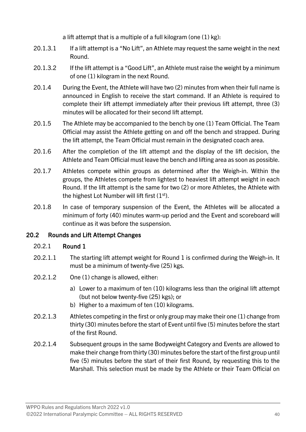a lift attempt that is a multiple of a full kilogram (one (1) kg):

- 20.1.3.1 If a lift attempt is a "No Lift", an Athlete may request the same weight in the next Round.
- 20.1.3.2 If the lift attempt is a "Good Lift", an Athlete must raise the weight by a minimum of one (1) kilogram in the next Round.
- 20.1.4 During the Event, the Athlete will have two (2) minutes from when their full name is announced in English to receive the start command. If an Athlete is required to complete their lift attempt immediately after their previous lift attempt, three (3) minutes will be allocated for their second lift attempt.
- 20.1.5 The Athlete may be accompanied to the bench by one (1) Team Official. The Team Official may assist the Athlete getting on and off the bench and strapped. During the lift attempt, the Team Official must remain in the designated coach area.
- 20.1.6 After the completion of the lift attempt and the display of the lift decision, the Athlete and Team Official must leave the bench and lifting area as soon as possible.
- 20.1.7 Athletes compete within groups as determined after the Weigh-in. Within the groups, the Athletes compete from lightest to heaviest lift attempt weight in each Round. If the lift attempt is the same for two (2) or more Athletes, the Athlete with the highest Lot Number will lift first  $(1<sup>st</sup>)$ .
- 20.1.8 In case of temporary suspension of the Event, the Athletes will be allocated a minimum of forty (40) minutes warm-up period and the Event and scoreboard will continue as it was before the suspension.

#### 20.2 Rounds and Lift Attempt Changes

#### 20.2.1 Round 1

- 20.2.1.1 The starting lift attempt weight for Round 1 is confirmed during the Weigh-in. It must be a minimum of twenty-five (25) kgs.
- 20.2.1.2 One (1) change is allowed, either:
	- a) Lower to a maximum of ten (10) kilograms less than the original lift attempt (but not below twenty-five (25) kgs); or
	- b) Higher to a maximum of ten (10) kilograms.
- 20.2.1.3 Athletes competing in the first or only group may make their one (1) change from thirty (30) minutes before the start of Event until five (5) minutes before the start of the first Round.
- 20.2.1.4 Subsequent groups in the same Bodyweight Category and Events are allowed to make their change from thirty (30) minutes before the start of the first group until five (5) minutes before the start of their first Round, by requesting this to the Marshall. This selection must be made by the Athlete or their Team Official on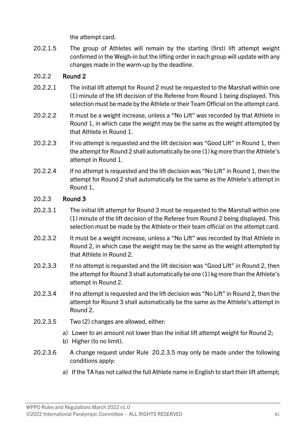the attempt card.

20.2.1.5 The group of Athletes will remain by the starting (first) lift attempt weight confirmed in the Weigh-in but the lifting order in each group will update with any changes made in the warm-up by the deadline.

#### 20.2.2 Round 2

- 20.2.2.1 The initial lift attempt for Round 2 must be requested to the Marshall within one (1) minute of the lift decision of the Referee from Round 1 being displayed. This selection must be made by the Athlete or their Team Official on the attempt card.
- 20.2.2.2 It must be a weight increase, unless a "No Lift" was recorded by that Athlete in Round 1, in which case the weight may be the same as the weight attempted by that Athlete in Round 1.
- 20.2.2.3 If no attempt is requested and the lift decision was "Good Lift" in Round 1, then the attempt for Round 2 shall automatically be one (1) kg more than the Athlete's attempt in Round 1.
- 20.2.2.4 If no attempt is requested and the lift decision was "No Lift" in Round 1, then the attempt for Round 2 shall automatically be the same as the Athlete's attempt in Round 1.

#### 20.2.3 Round 3

- 20.2.3.1 The initial lift attempt for Round 3 must be requested to the Marshall within one (1) minute of the lift decision of the Referee from Round 2 being displayed. This selection must be made by the Athlete or their team official on the attempt card.
- 20.2.3.2 It must be a weight increase, unless a "No Lift" was recorded by that Athlete in Round 2, in which case the weight may be the same as the weight attempted by that Athlete in Round 2.
- 20.2.3.3 If no attempt is requested and the lift decision was "Good Lift" in Round 2, then the attempt for Round 3 shall automatically be one (1) kg more than the Athlete's attempt in Round 2.
- 20.2.3.4 If no attempt is requested and the lift decision was "No Lift" in Round 2, then the attempt for Round 3 shall automatically be the same as the Athlete's attempt in Round 2.
- <span id="page-42-0"></span>20.2.3.5 Two (2) changes are allowed, either:
	- a) Lower to an amount not lower than the initial lift attempt weight for Round 2;
	- b) Higher (to no limit).
- 20.2.3.6 A change request under Rule [20.2.3.5](#page-42-0) may only be made under the following conditions apply:
	- a) If the TA has not called the full Athlete name in English to start their lift attempt;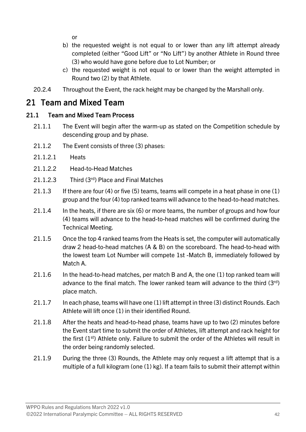or

- b) the requested weight is not equal to or lower than any lift attempt already completed (either "Good Lift" or "No Lift") by another Athlete in Round three (3) who would have gone before due to Lot Number; or
- c) the requested weight is not equal to or lower than the weight attempted in Round two (2) by that Athlete.
- 20.2.4 Throughout the Event, the rack height may be changed by the Marshall only.

### <span id="page-43-0"></span>21 Team and Mixed Team

#### 21.1 Team and Mixed Team Process

- 21.1.1 The Event will begin after the warm-up as stated on the Competition schedule by descending group and by phase.
- 21.1.2 The Event consists of three (3) phases:
- 21.1.2.1 Heats
- 21.1.2.2 Head-to-Head Matches
- 21.1.2.3 Third (3<sup>rd</sup>) Place and Final Matches
- 21.1.3 If there are four (4) or five (5) teams, teams will compete in a heat phase in one (1) group and the four (4) top ranked teams will advance to the head-to-head matches.
- 21.1.4 In the heats, if there are six (6) or more teams, the number of groups and how four (4) teams will advance to the head-to-head matches will be confirmed during the Technical Meeting.
- 21.1.5 Once the top 4 ranked teams from the Heats is set, the computer will automatically draw 2 head-to-head matches (A & B) on the scoreboard. The head-to-head with the lowest team Lot Number will compete 1st -Match B, immediately followed by Match A.
- 21.1.6 In the head-to-head matches, per match B and A, the one (1) top ranked team will advance to the final match. The lower ranked team will advance to the third  $(3<sup>rd</sup>)$ place match.
- 21.1.7 In each phase, teams will have one (1) lift attempt in three (3) distinct Rounds. Each Athlete will lift once (1) in their identified Round.
- 21.1.8 After the heats and head-to-head phase, teams have up to two (2) minutes before the Event start time to submit the order of Athletes, lift attempt and rack height for the first  $(1<sup>st</sup>)$  Athlete only. Failure to submit the order of the Athletes will result in the order being randomly selected.
- 21.1.9 During the three (3) Rounds, the Athlete may only request a lift attempt that is a multiple of a full kilogram (one (1) kg). If a team fails to submit their attempt within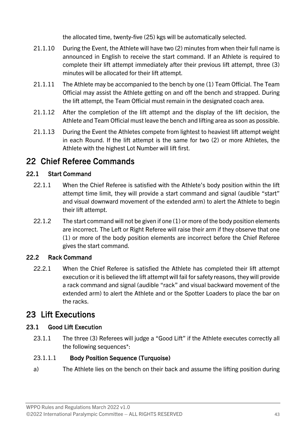the allocated time, twenty-five (25) kgs will be automatically selected.

- 21.1.10 During the Event, the Athlete will have two (2) minutes from when their full name is announced in English to receive the start command. If an Athlete is required to complete their lift attempt immediately after their previous lift attempt, three (3) minutes will be allocated for their lift attempt.
- 21.1.11 The Athlete may be accompanied to the bench by one (1) Team Official. The Team Official may assist the Athlete getting on and off the bench and strapped. During the lift attempt, the Team Official must remain in the designated coach area.
- 21.1.12 After the completion of the lift attempt and the display of the lift decision, the Athlete and Team Official must leave the bench and lifting area as soon as possible.
- 21.1.13 During the Event the Athletes compete from lightest to heaviest lift attempt weight in each Round. If the lift attempt is the same for two (2) or more Athletes, the Athlete with the highest Lot Number will lift first.

### <span id="page-44-0"></span>22 Chief Referee Commands

#### 22.1 Start Command

- 22.1.1 When the Chief Referee is satisfied with the Athlete's body position within the lift attempt time limit, they will provide a start command and signal (audible "start" and visual downward movement of the extended arm) to alert the Athlete to begin their lift attempt.
- 22.1.2 The start command will not be given if one (1) or more of the body position elements are incorrect. The Left or Right Referee will raise their arm if they observe that one (1) or more of the body position elements are incorrect before the Chief Referee gives the start command.

#### 22.2 Rack Command

22.2.1 When the Chief Referee is satisfied the Athlete has completed their lift attempt execution or it is believed the lift attempt will fail for safety reasons, they will provide a rack command and signal (audible "rack" and visual backward movement of the extended arm) to alert the Athlete and or the Spotter Loaders to place the bar on the racks.

### <span id="page-44-1"></span>23 Lift Executions

#### <span id="page-44-2"></span>23.1 Good Lift Execution

23.1.1 The three (3) Referees will judge a "Good Lift" if the Athlete executes correctly all the following sequences\*:

#### 23.1.1.1 Body Position Sequence (Turquoise)

a) The Athlete lies on the bench on their back and assume the lifting position during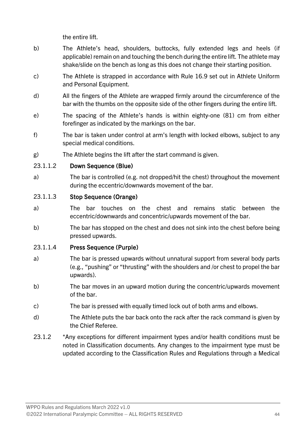the entire lift.

- b) The Athlete's head, shoulders, buttocks, fully extended legs and heels (if applicable) remain on and touching the bench during the entire lift. The athlete may shake/slide on the bench as long as this does not change their starting position.
- c) The Athlete is strapped in accordance with Rule [16.9](#page-37-0) set out in Athlete Uniform and Personal Equipment.
- d) All the fingers of the Athlete are wrapped firmly around the circumference of the bar with the thumbs on the opposite side of the other fingers during the entire lift.
- e) The spacing of the Athlete's hands is within eighty-one (81) cm from either forefinger as indicated by the markings on the bar.
- f) The bar is taken under control at arm's length with locked elbows, subject to any special medical conditions.
- g) The Athlete begins the lift after the start command is given.

#### 23.1.1.2 Down Sequence (Blue)

a) The bar is controlled (e.g. not dropped/hit the chest) throughout the movement during the eccentric/downwards movement of the bar.

#### 23.1.1.3 Stop Sequence (Orange)

- a) The bar touches on the chest and remains static between the eccentric/downwards and concentric/upwards movement of the bar.
- b) The bar has stopped on the chest and does not sink into the chest before being pressed upwards.

#### 23.1.1.4 Press Sequence (Purple)

- a) The bar is pressed upwards without unnatural support from several body parts (e.g., "pushing" or "thrusting" with the shoulders and /or chest to propel the bar upwards).
- b) The bar moves in an upward motion during the concentric/upwards movement of the bar.
- c) The bar is pressed with equally timed lock out of both arms and elbows.
- d) The Athlete puts the bar back onto the rack after the rack command is given by the Chief Referee.
- 23.1.2 \*Any exceptions for different impairment types and/or health conditions must be noted in Classification documents. Any changes to the impairment type must be updated according to the Classification Rules and Regulations through a Medical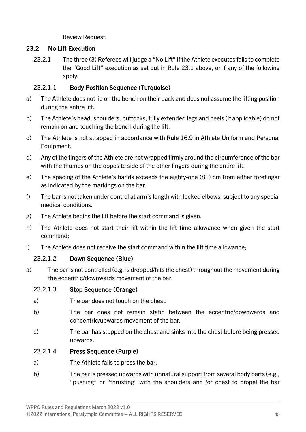Review Request.

#### 23.2 No Lift Execution

23.2.1 The three (3) Referees will judge a "No Lift" if the Athlete executes fails to complete the "Good Lift" execution as set out in Rule [23.1](#page-44-2) above, or if any of the following apply:

#### 23.2.1.1 Body Position Sequence (Turquoise)

- a) The Athlete does not lie on the bench on their back and does not assume the lifting position during the entire lift.
- b) The Athlete's head, shoulders, buttocks, fully extended legs and heels (if applicable) do not remain on and touching the bench during the lift.
- c) The Athlete is not strapped in accordance with Rule [16.9](#page-37-0) in Athlete Uniform and Personal Equipment.
- d) Any of the fingers of the Athlete are not wrapped firmly around the circumference of the bar with the thumbs on the opposite side of the other fingers during the entire lift.
- e) The spacing of the Athlete's hands exceeds the eighty-one (81) cm from either forefinger as indicated by the markings on the bar.
- f) The bar is not taken under control at arm's length with locked elbows, subject to any special medical conditions.
- g) The Athlete begins the lift before the start command is given.
- h) The Athlete does not start their lift within the lift time allowance when given the start command;
- i) The Athlete does not receive the start command within the lift time allowance;

#### 23.2.1.2 Down Sequence (Blue)

a) The bar is not controlled (e.g. is dropped/hits the chest) throughout the movement during the eccentric/downwards movement of the bar.

#### 23.2.1.3 Stop Sequence (Orange)

- a) The bar does not touch on the chest.
- b) The bar does not remain static between the eccentric/downwards and concentric/upwards movement of the bar.
- c) The bar has stopped on the chest and sinks into the chest before being pressed upwards.

#### 23.2.1.4 Press Sequence (Purple)

- a) The Athlete fails to press the bar.
- b) The bar is pressed upwards with unnatural support from several body parts (e.g., "pushing" or "thrusting" with the shoulders and /or chest to propel the bar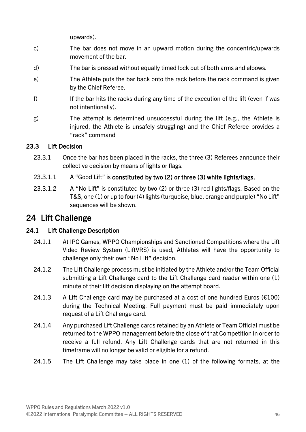upwards).

- c) The bar does not move in an upward motion during the concentric/upwards movement of the bar.
- d) The bar is pressed without equally timed lock out of both arms and elbows.
- e) The Athlete puts the bar back onto the rack before the rack command is given by the Chief Referee.
- f) If the bar hits the racks during any time of the execution of the lift (even if was not intentionally).
- g) The attempt is determined unsuccessful during the lift (e.g., the Athlete is injured, the Athlete is unsafely struggling) and the Chief Referee provides a "rack" command

#### 23.3 Lift Decision

- 23.3.1 Once the bar has been placed in the racks, the three (3) Referees announce their collective decision by means of lights or flags.
- 23.3.1.1 A "Good Lift" is constituted by two (2) or three (3) white lights/flags.
- 23.3.1.2 A "No Lift" is constituted by two (2) or three (3) red lights/flags. Based on the T&S, one (1) or up to four (4) lights (turquoise, blue, orange and purple) "No Lift" sequences will be shown.

### <span id="page-47-0"></span>24 Lift Challenge

#### 24.1 Lift Challenge Description

- 24.1.1 At IPC Games, WPPO Championships and Sanctioned Competitions where the Lift Video Review System (LiftVRS) is used, Athletes will have the opportunity to challenge only their own "No Lift" decision.
- 24.1.2 The Lift Challenge process must be initiated by the Athlete and/or the Team Official submitting a Lift Challenge card to the Lift Challenge card reader within one (1) minute of their lift decision displaying on the attempt board.
- 24.1.3 A Lift Challenge card may be purchased at a cost of one hundred Euros ( $E100$ ) during the Technical Meeting. Full payment must be paid immediately upon request of a Lift Challenge card.
- 24.1.4 Any purchased Lift Challenge cards retained by an Athlete or Team Official must be returned to the WPPO management before the close of that Competition in order to receive a full refund. Any Lift Challenge cards that are not returned in this timeframe will no longer be valid or eligible for a refund.
- 24.1.5 The Lift Challenge may take place in one (1) of the following formats, at the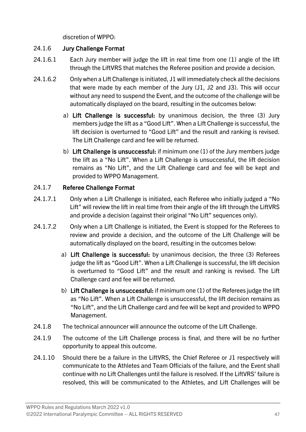discretion of WPPO:

#### 24.1.6 Jury Challenge Format

- 24.1.6.1 Each Jury member will judge the lift in real time from one (1) angle of the lift through the LiftVRS that matches the Referee position and provide a decision.
- 24.1.6.2 Only when a Lift Challenge is initiated, J1 will immediately check all the decisions that were made by each member of the Jury (J1, J2 and J3). This will occur without any need to suspend the Event, and the outcome of the challenge will be automatically displayed on the board, resulting in the outcomes below:
	- a) Lift Challenge is successful: by unanimous decision, the three (3) Jury members judge the lift as a "Good Lift". When a Lift Challenge is successful, the lift decision is overturned to "Good Lift" and the result and ranking is revised. The Lift Challenge card and fee will be returned.
	- b) Lift Challenge is unsuccessful: if minimum one (1) of the Jury members judge the lift as a "No Lift". When a Lift Challenge is unsuccessful, the lift decision remains as "No Lift", and the Lift Challenge card and fee will be kept and provided to WPPO Management.

#### 24.1.7 Referee Challenge Format

- 24.1.7.1 Only when a Lift Challenge is initiated, each Referee who initially judged a "No Lift" will review the lift in real time from their angle of the lift through the LiftVRS and provide a decision (against their original "No Lift" sequences only).
- 24.1.7.2 Only when a Lift Challenge is initiated, the Event is stopped for the Referees to review and provide a decision, and the outcome of the Lift Challenge will be automatically displayed on the board, resulting in the outcomes below:
	- a) Lift Challenge is successful: by unanimous decision, the three (3) Referees judge the lift as "Good Lift". When a Lift Challenge is successful, the lift decision is overturned to "Good Lift" and the result and ranking is revised. The Lift Challenge card and fee will be returned.
	- b) Lift Challenge is unsuccessful: if minimum one (1) of the Referees judge the lift as "No Lift". When a Lift Challenge is unsuccessful, the lift decision remains as "No Lift", and the Lift Challenge card and fee will be kept and provided to WPPO Management.
- 24.1.8 The technical announcer will announce the outcome of the Lift Challenge.
- 24.1.9 The outcome of the Lift Challenge process is final, and there will be no further opportunity to appeal this outcome.
- 24.1.10 Should there be a failure in the LiftVRS, the Chief Referee or J1 respectively will communicate to the Athletes and Team Officials of the failure, and the Event shall continue with no Lift Challenges until the failure is resolved. If the LiftVRS' failure is resolved, this will be communicated to the Athletes, and Lift Challenges will be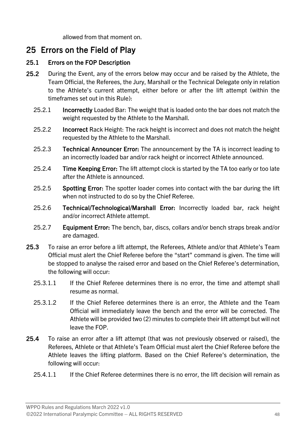allowed from that moment on.

### <span id="page-49-0"></span>25 Errors on the Field of Play

#### 25.1 Errors on the FOP Description

- 25.2 During the Event, any of the errors below may occur and be raised by the Athlete, the Team Official, the Referees, the Jury, Marshall or the Technical Delegate only in relation to the Athlete's current attempt, either before or after the lift attempt (within the timeframes set out in this Rule):
	- 25.2.1 Incorrectly Loaded Bar: The weight that is loaded onto the bar does not match the weight requested by the Athlete to the Marshall.
	- 25.2.2 Incorrect Rack Height: The rack height is incorrect and does not match the height requested by the Athlete to the Marshall.
	- 25.2.3 **Technical Announcer Error:** The announcement by the TA is incorrect leading to an incorrectly loaded bar and/or rack height or incorrect Athlete announced.
	- 25.2.4 Time Keeping Error: The lift attempt clock is started by the TA too early or too late after the Athlete is announced.
	- 25.2.5 Spotting Error: The spotter loader comes into contact with the bar during the lift when not instructed to do so by the Chief Referee.
	- 25.2.6 Technical/Technological/Marshall Error: Incorrectly loaded bar, rack height and/or incorrect Athlete attempt.
	- 25.2.7 **Equipment Error:** The bench, bar, discs, collars and/or bench straps break and/or are damaged.
- 25.3 To raise an error before a lift attempt, the Referees, Athlete and/or that Athlete's Team Official must alert the Chief Referee before the "start" command is given. The time will be stopped to analyse the raised error and based on the Chief Referee's determination, the following will occur:
	- 25.3.1.1 If the Chief Referee determines there is no error, the time and attempt shall resume as normal.
	- 25.3.1.2 If the Chief Referee determines there is an error, the Athlete and the Team Official will immediately leave the bench and the error will be corrected. The Athlete will be provided two (2) minutes to complete their lift attempt but will not leave the FOP.
- 25.4 To raise an error after a lift attempt (that was not previously observed or raised), the Referees, Athlete or that Athlete's Team Official must alert the Chief Referee before the Athlete leaves the lifting platform. Based on the Chief Referee's determination, the following will occur:
	- 25.4.1.1 If the Chief Referee determines there is no error, the lift decision will remain as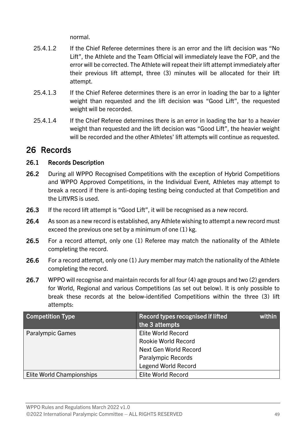normal.

- 25.4.1.2 If the Chief Referee determines there is an error and the lift decision was "No Lift", the Athlete and the Team Official will immediately leave the FOP, and the error will be corrected. The Athlete will repeat their lift attempt immediately after their previous lift attempt, three (3) minutes will be allocated for their lift attempt.
- 25.4.1.3 If the Chief Referee determines there is an error in loading the bar to a lighter weight than requested and the lift decision was "Good Lift", the requested weight will be recorded.
- 25.4.1.4 If the Chief Referee determines there is an error in loading the bar to a heavier weight than requested and the lift decision was "Good Lift", the heavier weight will be recorded and the other Athletes' lift attempts will continue as requested.

### <span id="page-50-0"></span>26 Records

#### 26.1 Records Description

- 26.2 During all WPPO Recognised Competitions with the exception of Hybrid Competitions and WPPO Approved Competitions, in the Individual Event, Athletes may attempt to break a record if there is anti-doping testing being conducted at that Competition and the LiftVRS is used.
- 26.3 If the record lift attempt is "Good Lift", it will be recognised as a new record.
- 26.4 As soon as a new record is established, any Athlete wishing to attempt a new record must exceed the previous one set by a minimum of one (1) kg.
- 26.5 For a record attempt, only one (1) Referee may match the nationality of the Athlete completing the record.
- 26.6 For a record attempt, only one (1) Jury member may match the nationality of the Athlete completing the record.
- 26.7 WPPO will recognise and maintain records for all four (4) age groups and two (2) genders for World, Regional and various Competitions (as set out below). It is only possible to break these records at the below-identified Competitions within the three (3) lift attempts:

| <b>Competition Type</b>   | Record types recognised if lifted<br>within<br>the 3 attempts |
|---------------------------|---------------------------------------------------------------|
| <b>Paralympic Games</b>   | <b>Elite World Record</b>                                     |
|                           | <b>Rookie World Record</b>                                    |
|                           | <b>Next Gen World Record</b>                                  |
|                           | <b>Paralympic Records</b>                                     |
|                           | <b>Legend World Record</b>                                    |
| Elite World Championships | <b>Elite World Record</b>                                     |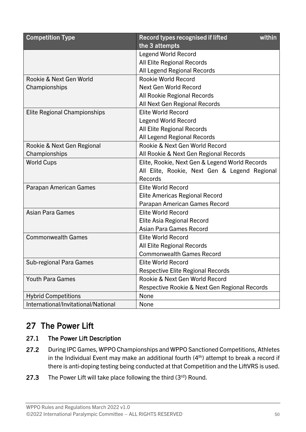| <b>Competition Type</b>             | Record types recognised if lifted<br>within<br>the 3 attempts |  |  |
|-------------------------------------|---------------------------------------------------------------|--|--|
|                                     | <b>Legend World Record</b>                                    |  |  |
|                                     | All Elite Regional Records                                    |  |  |
|                                     | All Legend Regional Records                                   |  |  |
| Rookie & Next Gen World             | <b>Rookie World Record</b>                                    |  |  |
| Championships                       | Next Gen World Record                                         |  |  |
|                                     | All Rookie Regional Records                                   |  |  |
|                                     | All Next Gen Regional Records                                 |  |  |
| <b>Elite Regional Championships</b> | <b>Elite World Record</b>                                     |  |  |
|                                     | <b>Legend World Record</b>                                    |  |  |
|                                     | All Elite Regional Records                                    |  |  |
|                                     | All Legend Regional Records                                   |  |  |
| Rookie & Next Gen Regional          | Rookie & Next Gen World Record                                |  |  |
| Championships                       | All Rookie & Next Gen Regional Records                        |  |  |
| <b>World Cups</b>                   | Elite, Rookie, Next Gen & Legend World Records                |  |  |
|                                     | All Elite, Rookie, Next Gen & Legend Regional                 |  |  |
|                                     | Records                                                       |  |  |
| Parapan American Games              | <b>Elite World Record</b>                                     |  |  |
|                                     | <b>Elite Americas Regional Record</b>                         |  |  |
|                                     | Parapan American Games Record                                 |  |  |
| <b>Asian Para Games</b>             | <b>Elite World Record</b>                                     |  |  |
|                                     | <b>Elite Asia Regional Record</b>                             |  |  |
|                                     | <b>Asian Para Games Record</b>                                |  |  |
| <b>Commonwealth Games</b>           | <b>Elite World Record</b>                                     |  |  |
|                                     | <b>All Elite Regional Records</b>                             |  |  |
|                                     | <b>Commonwealth Games Record</b>                              |  |  |
| Sub-regional Para Games             | <b>Elite World Record</b>                                     |  |  |
|                                     | <b>Respective Elite Regional Records</b>                      |  |  |
| <b>Youth Para Games</b>             | Rookie & Next Gen World Record                                |  |  |
|                                     | Respective Rookie & Next Gen Regional Records                 |  |  |
| <b>Hybrid Competitions</b>          | None                                                          |  |  |
| International/Invitational/National | None                                                          |  |  |

### <span id="page-51-0"></span>27 The Power Lift

#### 27.1 The Power Lift Description

- 27.2 During IPC Games, WPPO Championships and WPPO Sanctioned Competitions, Athletes in the Individual Event may make an additional fourth  $(4<sup>th</sup>)$  attempt to break a record if there is anti-doping testing being conducted at that Competition and the LiftVRS is used.
- 27.3 The Power Lift will take place following the third  $(3<sup>rd</sup>)$  Round.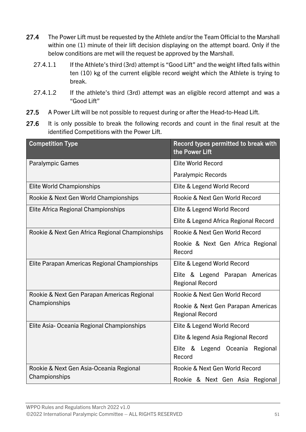- 27.4 The Power Lift must be requested by the Athlete and/or the Team Official to the Marshall within one (1) minute of their lift decision displaying on the attempt board. Only if the below conditions are met will the request be approved by the Marshall.
	- 27.4.1.1 If the Athlete's third (3rd) attempt is "Good Lift" and the weight lifted falls within ten (10) kg of the current eligible record weight which the Athlete is trying to break.
	- 27.4.1.2 If the athlete's third (3rd) attempt was an eligible record attempt and was a "Good Lift"
- 27.5 A Power Lift will be not possible to request during or after the Head-to-Head Lift.
- 27.6 It is only possible to break the following records and count in the final result at the identified Competitions with the Power Lift.

| <b>Competition Type</b>                         | Record types permitted to break with<br>the Power Lift       |  |  |  |
|-------------------------------------------------|--------------------------------------------------------------|--|--|--|
| <b>Paralympic Games</b>                         | <b>Elite World Record</b>                                    |  |  |  |
|                                                 | <b>Paralympic Records</b>                                    |  |  |  |
| <b>Elite World Championships</b>                | Elite & Legend World Record                                  |  |  |  |
| Rookie & Next Gen World Championships           | Rookie & Next Gen World Record                               |  |  |  |
| Elite Africa Regional Championships             | Elite & Legend World Record                                  |  |  |  |
|                                                 | Elite & Legend Africa Regional Record                        |  |  |  |
| Rookie & Next Gen Africa Regional Championships | Rookie & Next Gen World Record                               |  |  |  |
|                                                 | Rookie & Next Gen Africa Regional<br>Record                  |  |  |  |
| Elite Parapan Americas Regional Championships   | Elite & Legend World Record                                  |  |  |  |
|                                                 | Elite & Legend Parapan Americas<br><b>Regional Record</b>    |  |  |  |
| Rookie & Next Gen Parapan Americas Regional     | Rookie & Next Gen World Record                               |  |  |  |
| Championships                                   | Rookie & Next Gen Parapan Americas<br><b>Regional Record</b> |  |  |  |
| Elite Asia-Oceania Regional Championships       | Elite & Legend World Record                                  |  |  |  |
|                                                 | Elite & legend Asia Regional Record                          |  |  |  |
|                                                 | Elite & Legend Oceania Regional<br>Record                    |  |  |  |
| Rookie & Next Gen Asia-Oceania Regional         | Rookie & Next Gen World Record                               |  |  |  |
| Championships                                   | Rookie & Next Gen Asia Regional                              |  |  |  |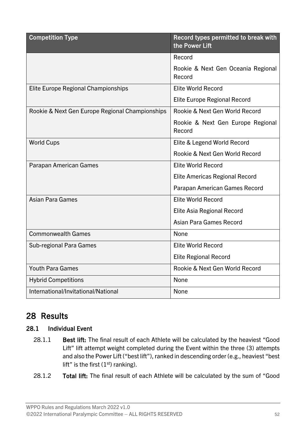| <b>Competition Type</b>                         | Record types permitted to break with<br>the Power Lift |
|-------------------------------------------------|--------------------------------------------------------|
|                                                 | Record                                                 |
|                                                 | Rookie & Next Gen Oceania Regional<br>Record           |
| Elite Europe Regional Championships             | <b>Elite World Record</b>                              |
|                                                 | <b>Elite Europe Regional Record</b>                    |
| Rookie & Next Gen Europe Regional Championships | Rookie & Next Gen World Record                         |
|                                                 | Rookie & Next Gen Europe Regional<br>Record            |
| <b>World Cups</b>                               | Elite & Legend World Record                            |
|                                                 | Rookie & Next Gen World Record                         |
| <b>Parapan American Games</b>                   | <b>Elite World Record</b>                              |
|                                                 | Elite Americas Regional Record                         |
|                                                 | Parapan American Games Record                          |
| <b>Asian Para Games</b>                         | <b>Elite World Record</b>                              |
|                                                 | Elite Asia Regional Record                             |
|                                                 | Asian Para Games Record                                |
| <b>Commonwealth Games</b>                       | None                                                   |
| Sub-regional Para Games                         | <b>Elite World Record</b>                              |
|                                                 | <b>Elite Regional Record</b>                           |
| <b>Youth Para Games</b>                         | Rookie & Next Gen World Record                         |
| <b>Hybrid Competitions</b>                      | None                                                   |
| International/Invitational/National             | None                                                   |

### <span id="page-53-0"></span>28 Results

#### 28.1 Individual Event

- 28.1.1 Best lift: The final result of each Athlete will be calculated by the heaviest "Good Lift" lift attempt weight completed during the Event within the three (3) attempts and also the Power Lift ("best lift"), ranked in descending order (e.g., heaviest "best lift" is the first  $(1<sup>st</sup>)$  ranking).
- 28.1.2 Total lift: The final result of each Athlete will be calculated by the sum of "Good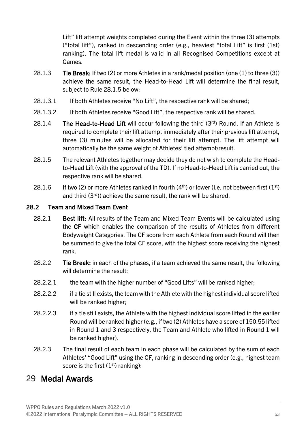Lift" lift attempt weights completed during the Event within the three (3) attempts ("total lift"), ranked in descending order (e.g., heaviest "total Lift" is first (1st) ranking). The total lift medal is valid in all Recognised Competitions except at Games.

- 28.1.3 **Tie Break:** If two (2) or more Athletes in a rank/medal position (one (1) to three (3)) achieve the same result, the Head-to-Head Lift will determine the final result, subject to Rule [28.1.5](#page-54-1) below:
- 28.1.3.1 If both Athletes receive "No Lift", the respective rank will be shared;
- 28.1.3.2 If both Athletes receive "Good Lift", the respective rank will be shared.
- 28.1.4 The Head-to-Head Lift will occur following the third  $(3<sup>rd</sup>)$  Round. If an Athlete is required to complete their lift attempt immediately after their previous lift attempt, three (3) minutes will be allocated for their lift attempt. The lift attempt will automatically be the same weight of Athletes' tied attempt/result.
- <span id="page-54-1"></span>28.1.5 The relevant Athletes together may decide they do not wish to complete the Headto-Head Lift (with the approval of the TD). If no Head-to-Head Lift is carried out, the respective rank will be shared.
- 28.1.6 If two (2) or more Athletes ranked in fourth (4<sup>th</sup>) or lower (i.e. not between first (1<sup>st</sup>) and third (3rd)) achieve the same result, the rank will be shared.

#### 28.2 Team and Mixed Team Event

- 28.2.1 Best lift: All results of the Team and Mixed Team Events will be calculated using the CF which enables the comparison of the results of Athletes from different Bodyweight Categories. The CF score from each Athlete from each Round will then be summed to give the total CF score, with the highest score receiving the highest rank.
- 28.2.2 Tie Break: in each of the phases, if a team achieved the same result, the following will determine the result:
- 28.2.2.1 the team with the higher number of "Good Lifts" will be ranked higher;
- 28.2.2.2 if a tie still exists, the team with the Athlete with the highest individual score lifted will be ranked higher;
- 28.2.2.3 if a tie still exists, the Athlete with the highest individual score lifted in the earlier Round will be ranked higher (e.g., if two (2) Athletes have a score of 150.55 lifted in Round 1 and 3 respectively, the Team and Athlete who lifted in Round 1 will be ranked higher).
- 28.2.3 The final result of each team in each phase will be calculated by the sum of each Athletes' "Good Lift" using the CF, ranking in descending order (e.g., highest team score is the first  $(1<sup>st</sup>)$  ranking):

### <span id="page-54-0"></span>29 Medal Awards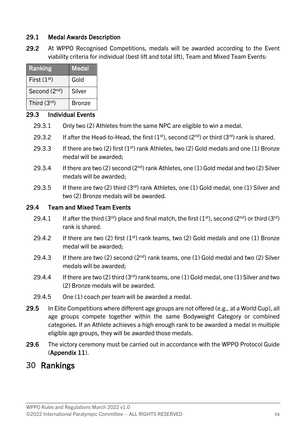#### 29.1 Medal Awards Description

29.2 At WPPO Recognised Competitions, medals will be awarded according to the Event viability criteria for individual (best lift and total lift), Team and Mixed Team Events:

| Ranking       | <b>Medal</b>  |
|---------------|---------------|
| First $(1st)$ | Gold          |
| Second (2nd)  | Silver        |
| Third $(3rd)$ | <b>Bronze</b> |

#### 29.3 Individual Events

- 29.3.1 Only two (2) Athletes from the same NPC are eligible to win a medal.
- 29.3.2 If after the Head-to-Head, the first  $(1<sup>st</sup>)$ , second  $(2<sup>nd</sup>)$  or third  $(3<sup>rd</sup>)$  rank is shared.
- 29.3.3 If there are two (2) first  $(1<sup>st</sup>)$  rank Athletes, two (2) Gold medals and one (1) Bronze medal will be awarded;
- 29.3.4 If there are two (2) second ( $2<sup>nd</sup>$ ) rank Athletes, one (1) Gold medal and two (2) Silver medals will be awarded;
- 29.3.5 If there are two (2) third (3rd) rank Athletes, one (1) Gold medal, one (1) Silver and two (2) Bronze medals will be awarded.

#### 29.4 Team and Mixed Team Events

- 29.4.1 If after the third (3<sup>rd</sup>) place and final match, the first (1<sup>st</sup>), second (2<sup>nd</sup>) or third (3<sup>rd</sup>) rank is shared.
- 29.4.2 If there are two (2) first  $(1<sup>st</sup>)$  rank teams, two (2) Gold medals and one (1) Bronze medal will be awarded;
- 29.4.3 If there are two (2) second ( $2<sup>nd</sup>$ ) rank teams, one (1) Gold medal and two (2) Silver medals will be awarded;
- 29.4.4 If there are two (2) third (3<sup>rd</sup>) rank teams, one (1) Gold medal, one (1) Silver and two (2) Bronze medals will be awarded.
- 29.4.5 One (1) coach per team will be awarded a medal.
- 29.5 In Elite Competitions where different age groups are not offered (e.g., at a World Cup), all age groups compete together within the same Bodyweight Category or combined categories. If an Athlete achieves a high enough rank to be awarded a medal in multiple eligible age groups, they will be awarded those medals.
- 29.6 The victory ceremony must be carried out in accordance with the WPPO Protocol Guide (Appendix 11).

### <span id="page-55-0"></span>30 Rankings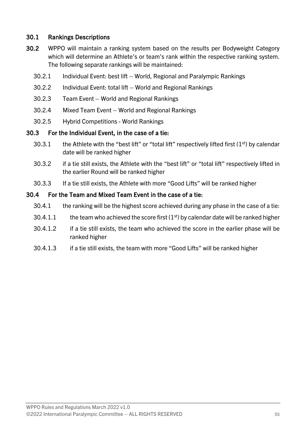#### 30.1 Rankings Descriptions

- 30.2 WPPO will maintain a ranking system based on the results per Bodyweight Category which will determine an Athlete's or team's rank within the respective ranking system. The following separate rankings will be maintained:
	- 30.2.1 Individual Event: best lift World, Regional and Paralympic Rankings
	- 30.2.2 Individual Event: total lift World and Regional Rankings
	- 30.2.3 Team Event World and Regional Rankings
	- 30.2.4 Mixed Team Event World and Regional Rankings
	- 30.2.5 Hybrid Competitions World Rankings

#### 30.3 For the Individual Event, in the case of a tie:

- 30.3.1 the Athlete with the "best lift" or "total lift" respectively lifted first  $(1<sup>st</sup>)$  by calendar date will be ranked higher
- 30.3.2 if a tie still exists, the Athlete with the "best lift" or "total lift" respectively lifted in the earlier Round will be ranked higher
- 30.3.3 If a tie still exists, the Athlete with more "Good Lifts" will be ranked higher

#### 30.4 For the Team and Mixed Team Event in the case of a tie:

- 30.4.1 the ranking will be the highest score achieved during any phase in the case of a tie:
- 30.4.1.1 the team who achieved the score first  $(1<sup>st</sup>)$  by calendar date will be ranked higher
- 30.4.1.2 if a tie still exists, the team who achieved the score in the earlier phase will be ranked higher
- 30.4.1.3 if a tie still exists, the team with more "Good Lifts" will be ranked higher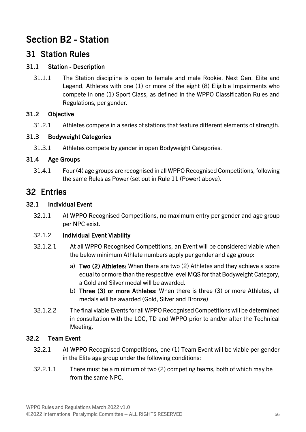### <span id="page-57-0"></span>Section B2 - Station

### <span id="page-57-1"></span>31 Station Rules

#### 31.1 Station - Description

31.1.1 The Station discipline is open to female and male Rookie, Next Gen, Elite and Legend, Athletes with one (1) or more of the eight (8) Eligible Impairments who compete in one (1) Sport Class, as defined in the WPPO Classification Rules and Regulations, per gender.

#### 31.2 Objective

31.2.1 Athletes compete in a series of stations that feature different elements of strength.

#### 31.3 Bodyweight Categories

31.3.1 Athletes compete by gender in open Bodyweight Categories.

#### 31.4 Age Groups

31.4.1 Four (4) age groups are recognised in all WPPO Recognised Competitions, following the same Rules as Power (set out in Rule [11](#page-28-0) (Power) above).

### <span id="page-57-2"></span>32 Entries

#### 32.1 Individual Event

32.1.1 At WPPO Recognised Competitions, no maximum entry per gender and age group per NPC exist.

#### 32.1.2 Individual Event Viability

- 32.1.2.1 At all WPPO Recognised Competitions, an Event will be considered viable when the below minimum Athlete numbers apply per gender and age group:
	- a) Two (2) Athletes: When there are two (2) Athletes and they achieve a score equal to or more than the respective level MQS for that Bodyweight Category, a Gold and Silver medal will be awarded.
	- b) Three (3) or more Athletes: When there is three (3) or more Athletes, all medals will be awarded (Gold, Silver and Bronze)
- 32.1.2.2 The final viable Events for all WPPO Recognised Competitions will be determined in consultation with the LOC, TD and WPPO prior to and/or after the Technical Meeting.

#### 32.2 Team Event

- 32.2.1 At WPPO Recognised Competitions, one (1) Team Event will be viable per gender in the Elite age group under the following conditions:
- 32.2.1.1 There must be a minimum of two (2) competing teams, both of which may be from the same NPC.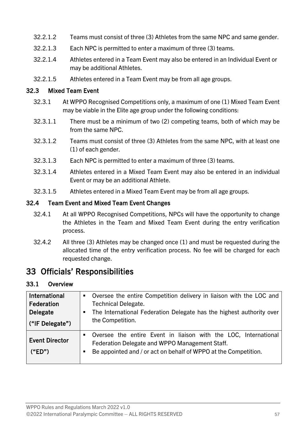- 32.2.1.2 Teams must consist of three (3) Athletes from the same NPC and same gender.
- 32.2.1.3 Each NPC is permitted to enter a maximum of three (3) teams.
- 32.2.1.4 Athletes entered in a Team Event may also be entered in an Individual Event or may be additional Athletes.
- 32.2.1.5 Athletes entered in a Team Event may be from all age groups.

#### 32.3 Mixed Team Event

- 32.3.1 At WPPO Recognised Competitions only, a maximum of one (1) Mixed Team Event may be viable in the Elite age group under the following conditions:
- 32.3.1.1 There must be a minimum of two (2) competing teams, both of which may be from the same NPC.
- 32.3.1.2 Teams must consist of three (3) Athletes from the same NPC, with at least one (1) of each gender.
- 32.3.1.3 Each NPC is permitted to enter a maximum of three (3) teams.
- 32.3.1.4 Athletes entered in a Mixed Team Event may also be entered in an individual Event or may be an additional Athlete.
- 32.3.1.5 Athletes entered in a Mixed Team Event may be from all age groups.

#### 32.4 Team Event and Mixed Team Event Changes

- 32.4.1 At all WPPO Recognised Competitions, NPCs will have the opportunity to change the Athletes in the Team and Mixed Team Event during the entry verification process.
- 32.4.2 All three (3) Athletes may be changed once (1) and must be requested during the allocated time of the entry verification process. No fee will be charged for each requested change.

### <span id="page-58-0"></span>33 Officials' Responsibilities

#### 33.1 Overview

| <b>International</b><br>Federation<br>Delegate<br>("IF Delegate") | Oversee the entire Competition delivery in liaison with the LOC and<br>$\blacksquare$<br><b>Technical Delegate.</b><br>The International Federation Delegate has the highest authority over<br>the Competition. |
|-------------------------------------------------------------------|-----------------------------------------------------------------------------------------------------------------------------------------------------------------------------------------------------------------|
| <b>Event Director</b><br>("ED")                                   | Oversee the entire Event in liaison with the LOC, International<br>٠<br>Federation Delegate and WPPO Management Staff.<br>Be appointed and / or act on behalf of WPPO at the Competition.<br>٠                  |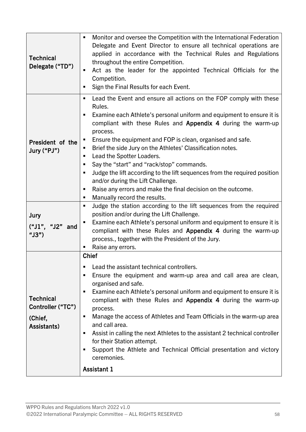| <b>Technical</b><br>Delegate ("TD")                             | Monitor and oversee the Competition with the International Federation<br>Delegate and Event Director to ensure all technical operations are<br>applied in accordance with the Technical Rules and Regulations<br>throughout the entire Competition.<br>Act as the leader for the appointed Technical Officials for the<br>٠<br>Competition.<br>Sign the Final Results for each Event.                                                                                                                                                                                                                                                                                                                                                                          |  |  |  |  |  |
|-----------------------------------------------------------------|----------------------------------------------------------------------------------------------------------------------------------------------------------------------------------------------------------------------------------------------------------------------------------------------------------------------------------------------------------------------------------------------------------------------------------------------------------------------------------------------------------------------------------------------------------------------------------------------------------------------------------------------------------------------------------------------------------------------------------------------------------------|--|--|--|--|--|
| President of the<br>Jury ("PJ")                                 | Lead the Event and ensure all actions on the FOP comply with these<br>Rules.<br>Examine each Athlete's personal uniform and equipment to ensure it is<br>compliant with these Rules and Appendix 4 during the warm-up<br>process.<br>Ensure the equipment and FOP is clean, organised and safe.<br>п<br>Brief the side Jury on the Athletes' Classification notes.<br>ш<br>Lead the Spotter Loaders.<br>٠<br>Say the "start" and "rack/stop" commands.<br>Judge the lift according to the lift sequences from the required position<br>٠<br>and/or during the Lift Challenge.<br>Raise any errors and make the final decision on the outcome.<br>Manually record the results.<br>ш<br>Judge the station according to the lift sequences from the required<br>п |  |  |  |  |  |
| Jury<br>$("J1", "J2"$ and<br>" $J3"$ )                          | position and/or during the Lift Challenge.<br>Examine each Athlete's personal uniform and equipment to ensure it is<br>compliant with these Rules and Appendix 4 during the warm-up<br>process., together with the President of the Jury.<br>Raise any errors.                                                                                                                                                                                                                                                                                                                                                                                                                                                                                                 |  |  |  |  |  |
| <b>Technical</b><br>Controller ("TC")<br>(Chief,<br>Assistants) | <b>Chief</b><br>Lead the assistant technical controllers.<br>п<br>Ensure the equipment and warm-up area and call area are clean,<br>п<br>organised and safe.<br>Examine each Athlete's personal uniform and equipment to ensure it is<br>п<br>compliant with these Rules and Appendix 4 during the warm-up<br>process.<br>Manage the access of Athletes and Team Officials in the warm-up area<br>٠<br>and call area.<br>Assist in calling the next Athletes to the assistant 2 technical controller<br>٠<br>for their Station attempt.<br>Support the Athlete and Technical Official presentation and victory<br>ceremonies.<br><b>Assistant 1</b>                                                                                                            |  |  |  |  |  |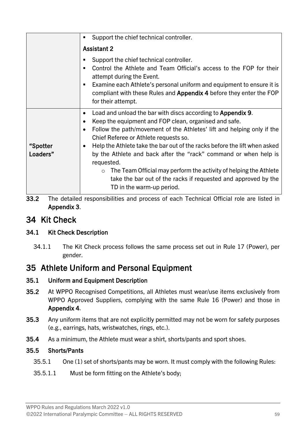|                      | Support the chief technical controller.                                                                                                                                                                                                                                                                                                                                                                                                                                                                                                                                                                         |  |  |  |
|----------------------|-----------------------------------------------------------------------------------------------------------------------------------------------------------------------------------------------------------------------------------------------------------------------------------------------------------------------------------------------------------------------------------------------------------------------------------------------------------------------------------------------------------------------------------------------------------------------------------------------------------------|--|--|--|
|                      | <b>Assistant 2</b>                                                                                                                                                                                                                                                                                                                                                                                                                                                                                                                                                                                              |  |  |  |
|                      | Support the chief technical controller.<br>Control the Athlete and Team Official's access to the FOP for their<br>attempt during the Event.<br>Examine each Athlete's personal uniform and equipment to ensure it is<br>compliant with these Rules and Appendix 4 before they enter the FOP<br>for their attempt.                                                                                                                                                                                                                                                                                               |  |  |  |
| "Spotter<br>Loaders" | Load and unload the bar with discs according to Appendix 9.<br>Keep the equipment and FOP clean, organised and safe.<br>Follow the path/movement of the Athletes' lift and helping only if the<br>$\bullet$<br>Chief Referee or Athlete requests so.<br>Help the Athlete take the bar out of the racks before the lift when asked<br>$\bullet$<br>by the Athlete and back after the "rack" command or when help is<br>requested.<br>The Team Official may perform the activity of helping the Athlete<br>$\circ$<br>take the bar out of the racks if requested and approved by the<br>TD in the warm-up period. |  |  |  |

33.2 The detailed responsibilities and process of each Technical Official role are listed in Appendix 3.

### <span id="page-60-0"></span>34 Kit Check

#### 34.1 Kit Check Description

34.1.1 The Kit Check process follows the same process set out in Rule [17](#page-39-0) (Power), per gender.

### <span id="page-60-1"></span>35 Athlete Uniform and Personal Equipment

#### 35.1 Uniform and Equipment Description

- 35.2 At WPPO Recognised Competitions, all Athletes must wear/use items exclusively from WPPO Approved Suppliers, complying with the same Rule [16](#page-34-0) (Power) and those in Appendix 4.
- 35.3 Any uniform items that are not explicitly permitted may not be worn for safety purposes (e.g., earrings, hats, wristwatches, rings, etc.).
- 35.4 As a minimum, the Athlete must wear a shirt, shorts/pants and sport shoes.

#### 35.5 Shorts/Pants

- 35.5.1 One (1) set of shorts/pants may be worn. It must comply with the following Rules:
- 35.5.1.1 Must be form fitting on the Athlete's body;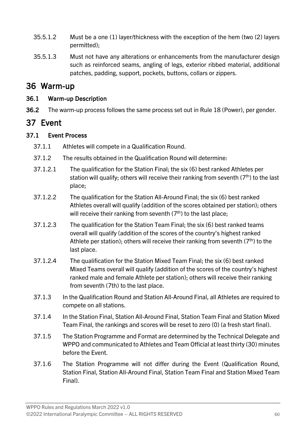- 35.5.1.2 Must be a one (1) layer/thickness with the exception of the hem (two (2) layers permitted);
- 35.5.1.3 Must not have any alterations or enhancements from the manufacturer design such as reinforced seams, angling of legs, exterior ribbed material, additional patches, padding, support, pockets, buttons, collars or zippers.

### <span id="page-61-0"></span>36 Warm-up

#### 36.1 Warm-up Description

36.2 The warm-up process follows the same process set out in Rule [18](#page-39-1) (Power), per gender.

### <span id="page-61-1"></span>37 Event

#### 37.1 Event Process

- 37.1.1 Athletes will compete in a Qualification Round.
- 37.1.2 The results obtained in the Qualification Round will determine:
- 37.1.2.1 The qualification for the Station Final; the six (6) best ranked Athletes per station will qualify; others will receive their ranking from seventh  $(7<sup>th</sup>)$  to the last place;
- 37.1.2.2 The qualification for the Station All-Around Final; the six (6) best ranked Athletes overall will qualify (addition of the scores obtained per station); others will receive their ranking from seventh  $(7<sup>th</sup>)$  to the last place;
- 37.1.2.3 The qualification for the Station Team Final; the six (6) best ranked teams overall will qualify (addition of the scores of the country's highest ranked Athlete per station); others will receive their ranking from seventh  $(7<sup>th</sup>)$  to the last place.
- 37.1.2.4 The qualification for the Station Mixed Team Final; the six (6) best ranked Mixed Teams overall will qualify (addition of the scores of the country's highest ranked male and female Athlete per station); others will receive their ranking from seventh (7th) to the last place.
- 37.1.3 In the Qualification Round and Station All-Around Final, all Athletes are required to compete on all stations.
- 37.1.4 In the Station Final, Station All-Around Final, Station Team Final and Station Mixed Team Final, the rankings and scores will be reset to zero (0) (a fresh start final).
- 37.1.5 The Station Programme and Format are determined by the Technical Delegate and WPPO and communicated to Athletes and Team Official at least thirty (30) minutes before the Event.
- 37.1.6 The Station Programme will not differ during the Event (Qualification Round, Station Final, Station All-Around Final, Station Team Final and Station Mixed Team Final).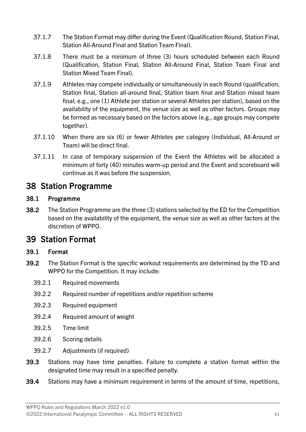- 37.1.7 The Station Format may differ during the Event (Qualification Round, Station Final, Station All-Around Final and Station Team Final).
- 37.1.8 There must be a minimum of three (3) hours scheduled between each Round (Qualification, Station Final, Station All-Around Final, Station Team Final and Station Mixed Team Final).
- 37.1.9 Athletes may compete individually or simultaneously in each Round (qualification, Station final, Station all-around final, Station team final and Station mixed team final; e.g., one (1) Athlete per station or several Athletes per station), based on the availability of the equipment, the venue size as well as other factors. Groups may be formed as necessary based on the factors above (e.g., age groups may compete together).
- 37.1.10 When there are six (6) or fewer Athletes per category (Individual, All-Around or Team) will be direct final.
- 37.1.11 In case of temporary suspension of the Event the Athletes will be allocated a minimum of forty (40) minutes warm-up period and the Event and scoreboard will continue as it was before the suspension.

### <span id="page-62-0"></span>38 Station Programme

#### 38.1 Programme

38.2 The Station Programme are the three (3) stations selected by the ED for the Competition based on the availability of the equipment, the venue size as well as other factors at the discretion of WPPO.

### <span id="page-62-1"></span>39 Station Format

#### 39.1 Format

- 39.2 The Station Format is the specific workout requirements are determined by the TD and WPPO for the Competition. It may include:
	- 39.2.1 Required movements
	- 39.2.2 Required number of repetitions and/or repetition scheme
	- 39.2.3 Required equipment
	- 39.2.4 Required amount of weight
	- 39.2.5 Time limit
	- 39.2.6 Scoring details
	- 39.2.7 Adjustments (if required)
- 39.3 Stations may have time penalties. Failure to complete a station format within the designated time may result in a specified penalty.
- 39.4 Stations may have a minimum requirement in terms of the amount of time, repetitions,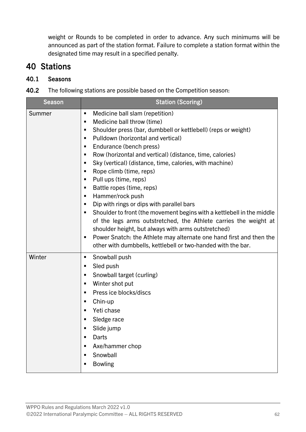weight or Rounds to be completed in order to advance. Any such minimums will be announced as part of the station format. Failure to complete a station format within the designated time may result in a specified penalty.

### <span id="page-63-0"></span>40 Stations

#### 40.1 Seasons

| 40.2 | The following stations are possible based on the Competition season: |  |  |
|------|----------------------------------------------------------------------|--|--|
|      |                                                                      |  |  |

| <b>Season</b> | <b>Station (Scoring)</b>                                                                                                                                                                                                                                                                                                                                                                                                                                                                                                                                                                                                                                                                                                                                                                                                                                                                   |  |  |  |  |
|---------------|--------------------------------------------------------------------------------------------------------------------------------------------------------------------------------------------------------------------------------------------------------------------------------------------------------------------------------------------------------------------------------------------------------------------------------------------------------------------------------------------------------------------------------------------------------------------------------------------------------------------------------------------------------------------------------------------------------------------------------------------------------------------------------------------------------------------------------------------------------------------------------------------|--|--|--|--|
| Summer        | Medicine ball slam (repetition)<br>٠<br>Medicine ball throw (time)<br>п<br>Shoulder press (bar, dumbbell or kettlebell) (reps or weight)<br>п<br>Pulldown (horizontal and vertical)<br>٠<br>Endurance (bench press)<br>п<br>Row (horizontal and vertical) (distance, time, calories)<br>п<br>Sky (vertical) (distance, time, calories, with machine)<br>П<br>Rope climb (time, reps)<br>п<br>Pull ups (time, reps)<br>٠<br>Battle ropes (time, reps)<br>П<br>Hammer/rock push<br>п<br>Dip with rings or dips with parallel bars<br>п<br>Shoulder to front (the movement begins with a kettlebell in the middle<br>٠<br>of the legs arms outstretched, the Athlete carries the weight at<br>shoulder height, but always with arms outstretched)<br>Power Snatch: the Athlete may alternate one hand first and then the<br>п<br>other with dumbbells, kettlebell or two-handed with the bar. |  |  |  |  |
| Winter        | Snowball push<br>п<br>Sled push<br>п<br>Snowball target (curling)<br>п<br>Winter shot put<br>٠<br>Press ice blocks/discs<br>٠<br>Chin-up<br>٠<br>Yeti chase<br>п<br>Sledge race<br>п<br>Slide jump<br>Darts<br>п<br>Axe/hammer chop<br>п<br>Snowball<br>٠<br><b>Bowling</b><br>п                                                                                                                                                                                                                                                                                                                                                                                                                                                                                                                                                                                                           |  |  |  |  |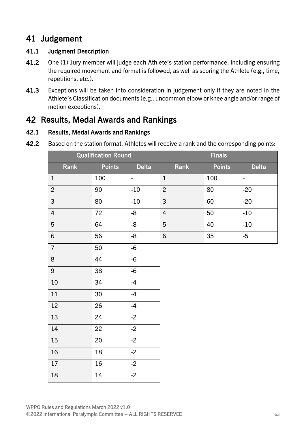### <span id="page-64-0"></span>Judgement

#### 41.1 Judgment Description

- 41.2 One (1) Jury member will judge each Athlete's station performance, including ensuring the required movement and format is followed, as well as scoring the Athlete (e.g., time, repetitions, etc.).
- 41.3 Exceptions will be taken into consideration in judgement only if they are noted in the Athlete's Classification documents (e.g., uncommon elbow or knee angle and/or range of motion exceptions).

### <span id="page-64-1"></span>Results, Medal Awards and Rankings

#### 42.1 Results, Medal Awards and Rankings

42.2 Based on the station format, Athletes will receive a rank and the corresponding points:

| <b>Qualification Round</b> |               | <b>Finals</b>            |                |               |                |
|----------------------------|---------------|--------------------------|----------------|---------------|----------------|
| Rank                       | <b>Points</b> | <b>Delta</b>             | Rank           | <b>Points</b> | <b>Delta</b>   |
| $\,1\,$                    | 100           | $\overline{\phantom{a}}$ | $\,1\,$        | 100           | $\blacksquare$ |
| $\overline{c}$             | 90            | $-10$                    | $\overline{2}$ | 80            | $-20$          |
| $\mathsf{3}$               | 80            | $-10$                    | 3              | 60            | $-20$          |
| $\overline{4}$             | 72            | $-8$                     | $\overline{4}$ | 50            | $-10$          |
| $\overline{5}$             | 64            | $-8-$                    | 5              | 40            | $-10$          |
| $\,$ 6 $\,$                | 56            | $-8$                     | 6              | 35            | $-5$           |
| $\overline{7}$             | 50            | $-6$                     |                |               |                |
| $\,8\,$                    | 44            | $-6$                     |                |               |                |
| 9                          | 38            | $-6$                     |                |               |                |
| $10\,$                     | 34            | $-4$                     |                |               |                |
| $11\,$                     | 30            | $-4$                     |                |               |                |
| 12                         | 26            | $-4$                     |                |               |                |
| 13                         | 24            | $-2$                     |                |               |                |
| $14\,$                     | 22            | $-2$                     |                |               |                |
| $15\,$                     | 20            | $-2$                     |                |               |                |
| $16\,$                     | 18            | $-2$                     |                |               |                |
| 17                         | 16            | $-2$                     |                |               |                |
| $18\,$                     | 14            | $-2$                     |                |               |                |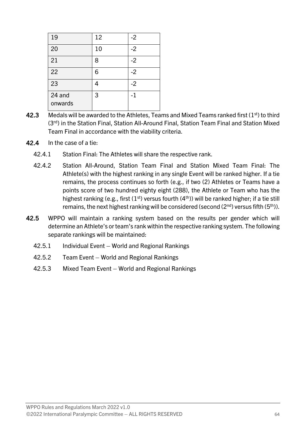| 19                | 12 | $-2$ |
|-------------------|----|------|
| 20                | 10 | $-2$ |
| 21                | 8  | $-2$ |
| 22                | 6  | $-2$ |
| 23                | 4  | $-2$ |
| 24 and<br>onwards | 3  | $-1$ |

- 42.3 Medals will be awarded to the Athletes, Teams and Mixed Teams ranked first  $(1<sup>st</sup>)$  to third (3rd) in the Station Final, Station All-Around Final, Station Team Final and Station Mixed Team Final in accordance with the viability criteria.
- 42.4 In the case of a tie:
	- 42.4.1 Station Final: The Athletes will share the respective rank.
	- 42.4.2 Station All-Around, Station Team Final and Station Mixed Team Final: The Athlete(s) with the highest ranking in any single Event will be ranked higher. If a tie remains, the process continues so forth (e.g., if two (2) Athletes or Teams have a points score of two hundred eighty eight (288), the Athlete or Team who has the highest ranking (e.g., first  $(1<sup>st</sup>)$  versus fourth  $(4<sup>th</sup>)$ ) will be ranked higher; if a tie still remains, the next highest ranking will be considered (second  $(2^{nd})$  versus fifth  $(5^{th})$ ).
- 42.5 WPPO will maintain a ranking system based on the results per gender which will determine an Athlete's or team's rank within the respective ranking system. The following separate rankings will be maintained:
	- 42.5.1 Individual Event World and Regional Rankings
	- 42.5.2 Team Event World and Regional Rankings
	- 42.5.3 Mixed Team Event World and Regional Rankings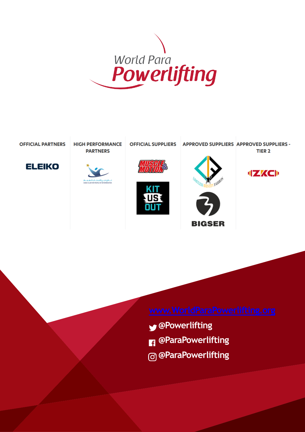





- **@Powerlifting**
- **@ParaPowerlifting**
- **@ParaPowerlifting**